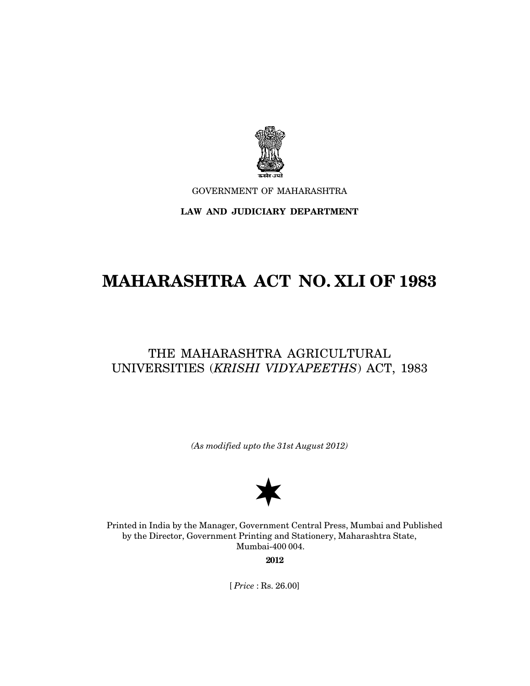

GOVERNMENT OF MAHARASHTRA

## **LAW AND JUDICIARY DEPARTMENT**

# **MAHARASHTRA ACT NO. XLI OF 1983**

## THE MAHARASHTRA AGRICULTURAL UNIVERSITIES (*KRISHI VIDYAPEETHS*) ACT, 1983

*(As modified upto the 31st August 2012)*



Printed in India by the Manager, Government Central Press, Mumbai and Published by the Director, Government Printing and Stationery, Maharashtra State, Mumbai-400 004.

**2012**

[ *Price* : Rs. 26.00]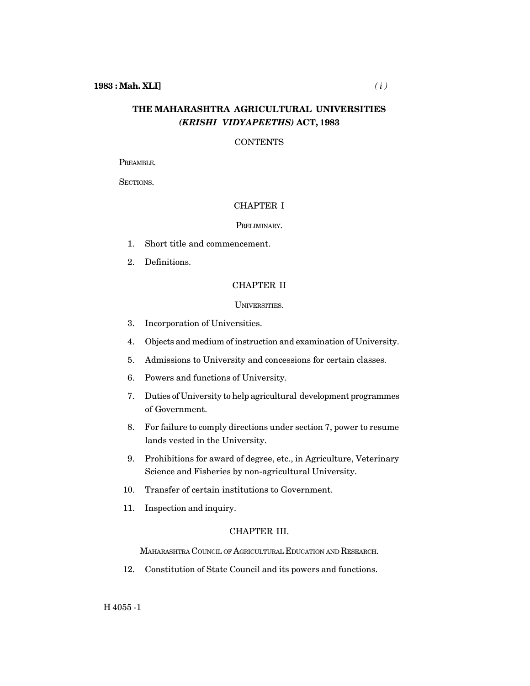## **THE MAHARASHTRA AGRICULTURAL UNIVERSITIES** *(KRISHI VIDYAPEETHS)* **ACT, 1983**

## **CONTENTS**

PREAMBLE.

SECTIONS.

## CHAPTER I

#### PRELIMINARY.

- 1. Short title and commencement.
- 2. Definitions.

## CHAPTER II

## UNIVERSITIES.

- 3. Incorporation of Universities.
- 4. Objects and medium of instruction and examination of University.
- 5. Admissions to University and concessions for certain classes.
- 6. Powers and functions of University.
- 7. Duties of University to help agricultural development programmes of Government.
- 8. For failure to comply directions under section 7, power to resume lands vested in the University.
- 9. Prohibitions for award of degree, etc., in Agriculture, Veterinary Science and Fisheries by non-agricultural University.
- 10. Transfer of certain institutions to Government.
- 11. Inspection and inquiry.

### CHAPTER III.

MAHARASHTRA COUNCIL OF AGRICULTURAL EDUCATION AND RESEARCH.

12. Constitution of State Council and its powers and functions.

H 4055 -1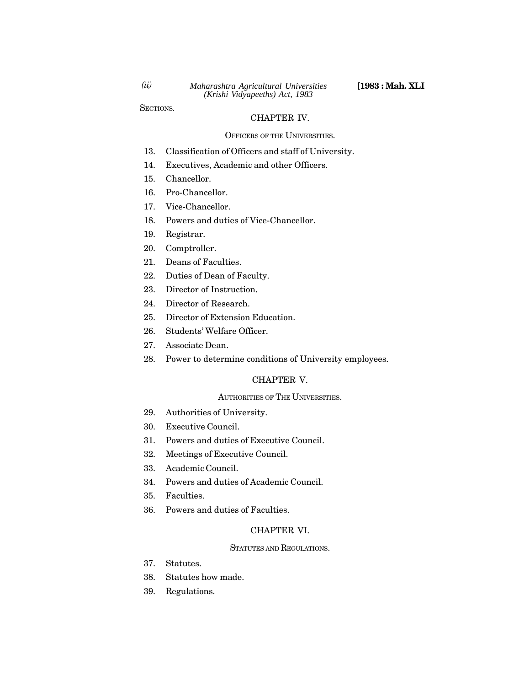SECTIONS.

#### CHAPTER IV.

#### OFFICERS OF THE UNIVERSITIES.

- 13. Classification of Officers and staff of University.
- 14. Executives, Academic and other Officers.
- 15. Chancellor.
- 16. Pro-Chancellor.
- 17. Vice-Chancellor.
- 18. Powers and duties of Vice-Chancellor.
- 19. Registrar.
- 20. Comptroller.
- 21. Deans of Faculties.
- 22. Duties of Dean of Faculty.
- 23. Director of Instruction.
- 24. Director of Research.
- 25. Director of Extension Education.
- 26. Students' Welfare Officer.
- 27. Associate Dean.
- 28. Power to determine conditions of University employees.

#### CHAPTER V.

#### AUTHORITIES OF THE UNIVERSITIES.

- 29. Authorities of University.
- 30. Executive Council.
- 31. Powers and duties of Executive Council.
- 32. Meetings of Executive Council.
- 33. Academic Council.
- 34. Powers and duties of Academic Council.
- 35. Faculties.
- 36. Powers and duties of Faculties.

## CHAPTER VI.

## STATUTES AND REGULATIONS.

- 37. Statutes.
- 38. Statutes how made.
- 39. Regulations.

*(ii)*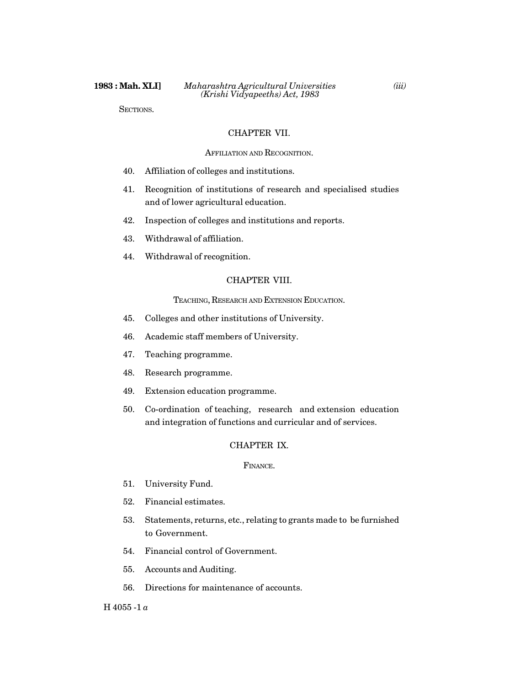SECTIONS.

#### CHAPTER VII.

#### AFFILIATION AND RECOGNITION.

- 40. Affiliation of colleges and institutions.
- 41. Recognition of institutions of research and specialised studies and of lower agricultural education.
- 42. Inspection of colleges and institutions and reports.
- 43. Withdrawal of affiliation.
- 44. Withdrawal of recognition.

#### CHAPTER VIII.

TEACHING, RESEARCH AND EXTENSION EDUCATION.

- 45. Colleges and other institutions of University.
- 46. Academic staff members of University.
- 47. Teaching programme.
- 48. Research programme.
- 49. Extension education programme.
- 50. Co-ordination of teaching, research and extension education and integration of functions and curricular and of services.

## CHAPTER IX.

#### FINANCE.

- 51. University Fund.
- 52. Financial estimates.
- 53. Statements, returns, etc., relating to grants made to be furnished to Government.
- 54. Financial control of Government.
- 55. Accounts and Auditing.
- 56. Directions for maintenance of accounts.

## H 4055 -1 *a*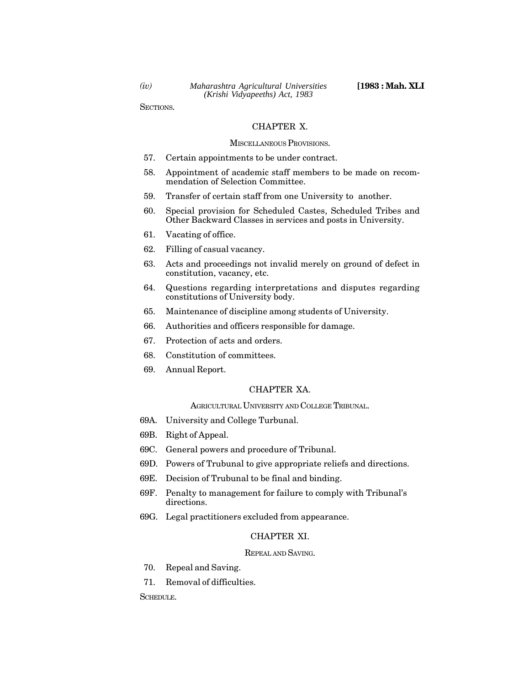SECTIONS.

#### CHAPTER X.

#### MISCELLANEOUS PROVISIONS.

- 57. Certain appointments to be under contract.
- 58. Appointment of academic staff members to be made on recommendation of Selection Committee.
- 59. Transfer of certain staff from one University to another.
- 60. Special provision for Scheduled Castes, Scheduled Tribes and Other Backward Classes in services and posts in University.
- 61. Vacating of office.
- 62. Filling of casual vacancy.
- 63. Acts and proceedings not invalid merely on ground of defect in constitution, vacancy, etc.
- 64. Questions regarding interpretations and disputes regarding constitutions of University body.
- 65. Maintenance of discipline among students of University.
- 66. Authorities and officers responsible for damage.
- 67. Protection of acts and orders.
- 68. Constitution of committees.
- 69. Annual Report.

### CHAPTER XA.

## AGRICULTURAL UNIVERSITY AND COLLEGE TRIBUNAL.

- 69A. University and College Turbunal.
- 69B. Right of Appeal.
- 69C. General powers and procedure of Tribunal.
- 69D. Powers of Trubunal to give appropriate reliefs and directions.
- 69E. Decision of Trubunal to be final and binding.
- 69F. Penalty to management for failure to comply with Tribunal's directions.
- 69G. Legal practitioners excluded from appearance.

## CHAPTER XI.

#### REPEAL AND SAVING.

- 70. Repeal and Saving.
- 71. Removal of difficulties.

SCHEDULE.

*(iv)*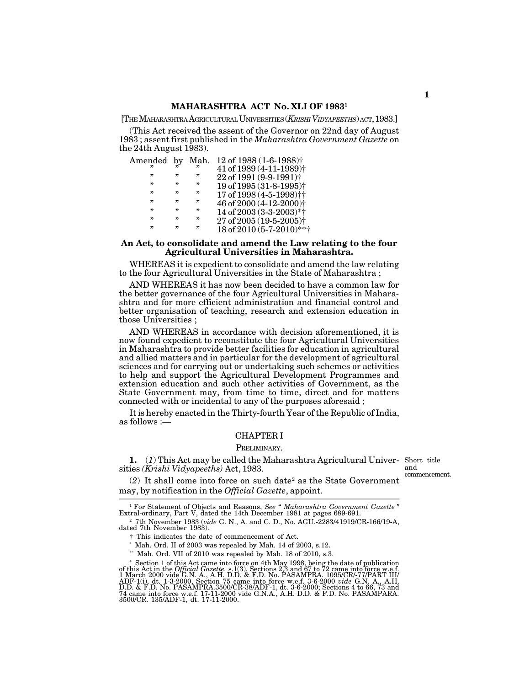#### **MAHARASHTRA ACT No. XLI OF 1983<sup>1</sup>**

[THEMAHARASHTRA AGRICULTURALUNIVERSITIES (*KRISHIVIDYAPEETHS*) ACT, 1983.]

(This Act received the assent of the Governor on 22nd day of August 1983 ; assent first published in the *Maharashtra Government Gazette* on the 24th August  $1\overline{9}83$ ).

| Amended by Mah. |   |   | 12 of 1988 (1-6-1988) <sup>†</sup>    |
|-----------------|---|---|---------------------------------------|
| "               |   | " | $41$ of 1989 (4-11-1989) <sup>†</sup> |
| "               | " | " | 22 of 1991 (9-9-1991) <sup>†</sup>    |
| "               | " | " | 19 of 1995 (31-8-1995) <sup>†</sup>   |
| "               | " | " | 17 of 1998 $(4-5-1998)$ <sup>++</sup> |
| "               | " | " | 46 of 2000 $(4-12-2000)$ <sup>+</sup> |
| "               | " | " | 14 of 2003 (3-3-2003)*†               |
| "               | " | " | $27 \text{ of } 2005 (19-5-2005)$     |
| "               | " | " | 18 of 2010 (5-7-2010)**†              |

#### **An Act, to consolidate and amend the Law relating to the four Agricultural Universities in Maharashtra.**

WHEREAS it is expedient to consolidate and amend the law relating to the four Agricultural Universities in the State of Maharashtra ;

AND WHEREAS it has now been decided to have a common law for the better governance of the four Agricultural Universities in Maharashtra and for more efficient administration and financial control and better organisation of teaching, research and extension education in those Universities ;

AND WHEREAS in accordance with decision aforementioned, it is now found expedient to reconstitute the four Agricultural Universities in Maharashtra to provide better facilities for education in agricultural and allied matters and in particular for the development of agricultural sciences and for carrying out or undertaking such schemes or activities to help and support the Agricultural Development Programmes and extension education and such other activities of Government, as the State Government may, from time to time, direct and for matters connected with or incidental to any of the purposes aforesaid ;

It is hereby enacted in the Thirty-fourth Year of the Republic of India, as follows :—

## CHAPTER I

#### PRELIMINARY.

**1.** (*1*) This Act may be called the Maharashtra Agricultural Univer-Short title sities *(Krishi Vidyapeeths)* Act, 1983.

and commencement.

 $(2)$  It shall come into force on such date<sup>2</sup> as the State Government may, by notification in the *Official Gazette*, appoint.

<sup>1</sup> For Statement of Objects and Reasons, *See* " *Maharashtra Government Gazette* " Extral-ordinary, Part V, dated the 14th December 1981 at pages 689-691.

<sup>2</sup> 7th November 1983 (*vide* G. N., A. and C. D., No. AGU.-2283/41919/CR-166/19-A, dated 7th November 1983).

† This indicates the date of commencement of Act.

 $*$  Mah. Ord. II of 2003 was repealed by Mah. 14 of 2003, s.12.

 $*$  Mah. Ord. VII of 2010 was repealed by Mah. 18 of 2010, s.3.

<sup>\*</sup> Section 1 of this Act came into force on 4th May 1998, being the date of publication<br>of this Act in the *Official Gazette*, s.1(3). Sections 2.3 and 67 to 72 came into force w.e.f.<br>1 March 2000 vide G.N. A.H. D.D. & F 74 came into force w.e.f. 17-11-2000 vide G.N.A., A.H. D.D. & F.D. No. PASAMPARA. 3500/CR. 135/ADF-1, dt. 17-11-2000.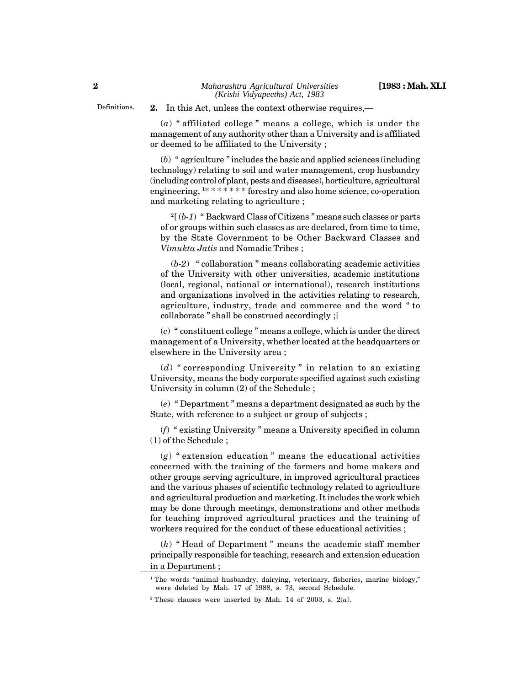Definitions.

**2.** In this Act, unless the context otherwise requires,—

(*a*) " affiliated college " means a college, which is under the management of any authority other than a University and is affiliated or deemed to be affiliated to the University ;

(*b*) " agriculture " includes the basic and applied sciences (including technology) relating to soil and water management, crop husbandry (including control of plant, pests and diseases), horticulture, agricultural engineering,  $1*******$  forestry and also home science, co-operation and marketing relating to agriculture ;

<sup>2</sup>[ (*b-1*) " Backward Class of Citizens " means such classes or parts of or groups within such classes as are declared, from time to time, by the State Government to be Other Backward Classes and *Vimukta Jatis* and Nomadic Tribes ;

(*b-2*) " collaboration " means collaborating academic activities of the University with other universities, academic institutions (local, regional, national or international), research institutions and organizations involved in the activities relating to research, agriculture, industry, trade and commerce and the word " to collaborate " shall be construed accordingly ;]

(*c*) " constituent college " means a college, which is under the direct management of a University, whether located at the headquarters or elsewhere in the University area ;

(*d*) " corresponding University " in relation to an existing University, means the body corporate specified against such existing University in column (2) of the Schedule ;

(*e*) " Department " means a department designated as such by the State, with reference to a subject or group of subjects ;

(*f*) " existing University " means a University specified in column (1) of the Schedule ;

(*g*) " extension education " means the educational activities concerned with the training of the farmers and home makers and other groups serving agriculture, in improved agricultural practices and the various phases of scientific technology related to agriculture and agricultural production and marketing. It includes the work which may be done through meetings, demonstrations and other methods for teaching improved agricultural practices and the training of workers required for the conduct of these educational activities ;

(*h*) " Head of Department " means the academic staff member principally responsible for teaching, research and extension education in a Department ;

<sup>&</sup>lt;sup>1</sup> The words "animal husbandry, dairying, veterinary, fisheries, marine biology," were deleted by Mah. 17 of 1988, s. 73, second Schedule.

<sup>&</sup>lt;sup>2</sup> These clauses were inserted by Mah. 14 of 2003, s.  $2(a)$ .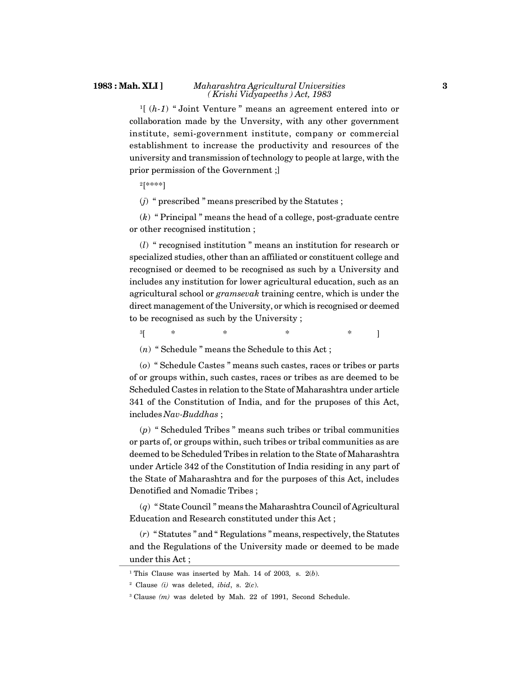#### **1983 : Mah. XLI ]** *Maharashtra Agricultural Universities ( Krishi Vidyapeeths ) Act, 1983*

<sup>1</sup>[ (*h-1*) " Joint Venture " means an agreement entered into or collaboration made by the Unversity, with any other government institute, semi-government institute, company or commercial establishment to increase the productivity and resources of the university and transmission of technology to people at large, with the prior permission of the Government ;]

<sup>2</sup>[\*\*\*\*]

(*j*) " prescribed " means prescribed by the Statutes ;

(*k*) " Principal " means the head of a college, post-graduate centre or other recognised institution ;

(*l*) " recognised institution " means an institution for research or specialized studies, other than an affiliated or constituent college and recognised or deemed to be recognised as such by a University and includes any institution for lower agricultural education, such as an agricultural school or *gramsevak* training centre, which is under the direct management of the University, or which is recognised or deemed to be recognised as such by the University ;

<sup>3</sup>[ \* \* \* \* ]

(*n*) " Schedule " means the Schedule to this Act ;

(*o*) " Schedule Castes " means such castes, races or tribes or parts of or groups within, such castes, races or tribes as are deemed to be Scheduled Castes in relation to the State of Maharashtra under article 341 of the Constitution of India, and for the pruposes of this Act, includes *Nav-Buddhas* ;

(*p*) " Scheduled Tribes " means such tribes or tribal communities or parts of, or groups within, such tribes or tribal communities as are deemed to be Scheduled Tribes in relation to the State of Maharashtra under Article 342 of the Constitution of India residing in any part of the State of Maharashtra and for the purposes of this Act, includes Denotified and Nomadic Tribes ;

(*q*) " State Council " means the Maharashtra Council of Agricultural Education and Research constituted under this Act ;

(*r*) " Statutes " and " Regulations " means, respectively, the Statutes and the Regulations of the University made or deemed to be made under this Act ;

<sup>1</sup> This Clause was inserted by Mah. 14 of 2003*,* s. 2(*b*).

<sup>2</sup> Clause *(i)* was deleted, *ibid*, s. 2(*c*).

<sup>&</sup>lt;sup>3</sup> Clause *(m)* was deleted by Mah. 22 of 1991, Second Schedule.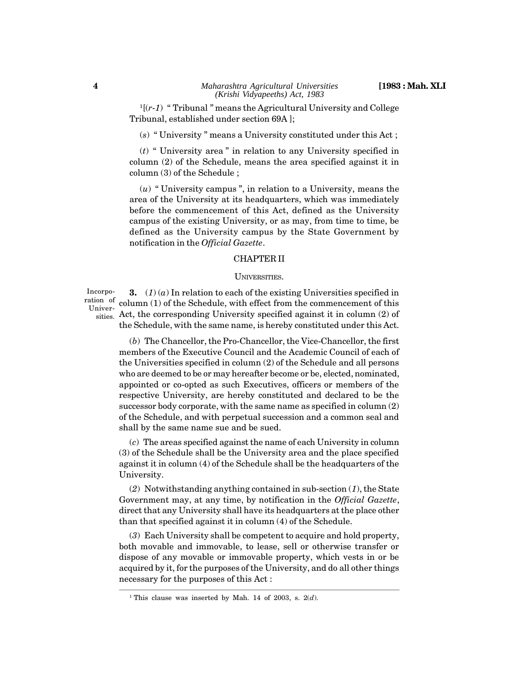$1[(r-1)$  "Tribunal" means the Agricultural University and College Tribunal, established under section 69A ];

(*s*) " University " means a University constituted under this Act ;

(*t*) " University area " in relation to any University specified in column (2) of the Schedule, means the area specified against it in column (3) of the Schedule ;

(*u*) " University campus ", in relation to a University, means the area of the University at its headquarters, which was immediately before the commencement of this Act, defined as the University campus of the existing University, or as may, from time to time, be defined as the University campus by the State Government by notification in the *Official Gazette*.

#### CHAPTER II

#### UNIVERSITIES.

Incorporation of Univer-

**3.**  $(1)(a)$  In relation to each of the existing Universities specified in column (1) of the Schedule, with effect from the commencement of this sities. Act, the corresponding University specified against it in column (2) of the Schedule, with the same name, is hereby constituted under this Act.

(*b*) The Chancellor, the Pro-Chancellor, the Vice-Chancellor, the first members of the Executive Council and the Academic Council of each of the Universities specified in column (2) of the Schedule and all persons who are deemed to be or may hereafter become or be, elected, nominated, appointed or co-opted as such Executives, officers or members of the respective University, are hereby constituted and declared to be the successor body corporate, with the same name as specified in column (2) of the Schedule, and with perpetual succession and a common seal and shall by the same name sue and be sued.

(*c*) The areas specified against the name of each University in column (3) of the Schedule shall be the University area and the place specified against it in column (4) of the Schedule shall be the headquarters of the University.

(*2*) Notwithstanding anything contained in sub-section (*1*), the State Government may, at any time, by notification in the *Official Gazette*, direct that any University shall have its headquarters at the place other than that specified against it in column (4) of the Schedule.

(*3*) Each University shall be competent to acquire and hold property, both movable and immovable, to lease, sell or otherwise transfer or dispose of any movable or immovable property, which vests in or be acquired by it, for the purposes of the University, and do all other things necessary for the purposes of this Act :

<sup>&</sup>lt;sup>1</sup> This clause was inserted by Mah. 14 of 2003, s.  $2(d)$ .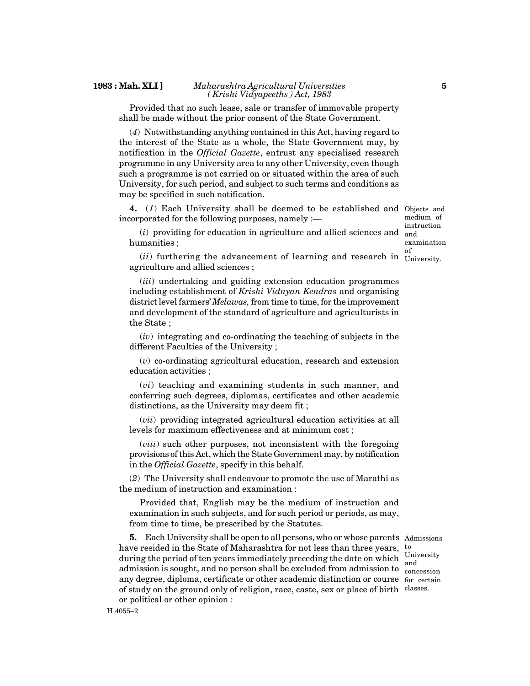#### **1983 : Mah. XLI ]** *Maharashtra Agricultural Universities ( Krishi Vidyapeeths ) Act, 1983*

Provided that no such lease, sale or transfer of immovable property shall be made without the prior consent of the State Government.

(*4*) Notwithstanding anything contained in this Act, having regard to the interest of the State as a whole, the State Government may, by notification in the *Official Gazette*, entrust any specialised research programme in any University area to any other University, even though such a programme is not carried on or situated within the area of such University, for such period, and subject to such terms and conditions as may be specified in such notification.

**4.** (*1*) Each University shall be deemed to be established and Objects and incorporated for the following purposes, namely : medium of

(*i*) providing for education in agriculture and allied sciences and and humanities ;

instruction examination

 $(ii)$  furthering the advancement of learning and research in  $\frac{\text{of}}{\text{University}}$ agriculture and allied sciences ; University.

(*iii*) undertaking and guiding extension education programmes including establishment of *Krishi Vidnyan Kendras* and organising district level farmers' *Melawas,* from time to time, for the improvement and development of the standard of agriculture and agriculturists in the State ;

(*iv*) integrating and co-ordinating the teaching of subjects in the different Faculties of the University ;

(*v*) co-ordinating agricultural education, research and extension education activities ;

(*vi*) teaching and examining students in such manner, and conferring such degrees, diplomas, certificates and other academic distinctions, as the University may deem fit ;

(*vii*) providing integrated agricultural education activities at all levels for maximum effectiveness and at minimum cost ;

(*viii*) such other purposes, not inconsistent with the foregoing provisions of this Act, which the State Government may, by notification in the *Official Gazette*, specify in this behalf.

(*2*) The University shall endeavour to promote the use of Marathi as the medium of instruction and examination :

Provided that, English may be the medium of instruction and examination in such subjects, and for such period or periods, as may, from time to time, be prescribed by the Statutes.

**5.** Each University shall be open to all persons, who or whose parents Admissions have resided in the State of Maharashtra for not less than three years, to during the period of ten years immediately preceding the date on which  $\frac{University}{end}$ admission is sought, and no person shall be excluded from admission to concession any degree, diploma, certificate or other academic distinction or course for certain of study on the ground only of religion, race, caste, sex or place of birth classes. or political or other opinion :

and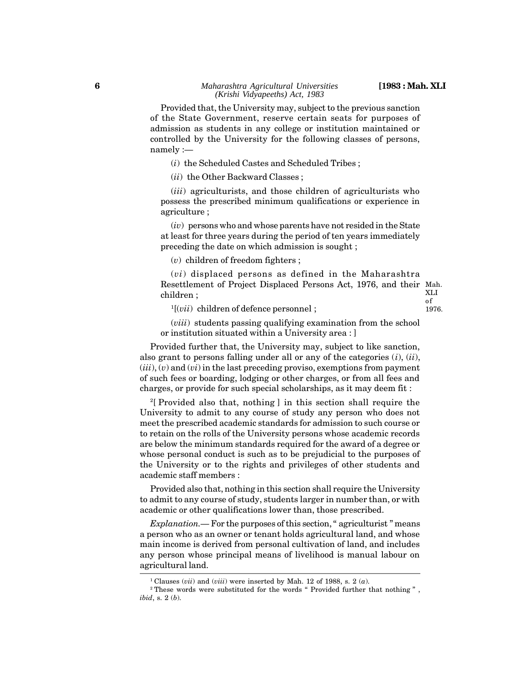1976.

Provided that, the University may, subject to the previous sanction of the State Government, reserve certain seats for purposes of admission as students in any college or institution maintained or controlled by the University for the following classes of persons, namely :—

(*i*) the Scheduled Castes and Scheduled Tribes ;

(*ii*) the Other Backward Classes ;

(*iii*) agriculturists, and those children of agriculturists who possess the prescribed minimum qualifications or experience in agriculture ;

(*iv*) persons who and whose parents have not resided in the State at least for three years during the period of ten years immediately preceding the date on which admission is sought ;

(*v*) children of freedom fighters ;

(*vi*) displaced persons as defined in the Maharashtra Resettlement of Project Displaced Persons Act, 1976, and their Mah. children ; XLI of

<sup>1</sup>[(*vii*) children of defence personnel ;

(*viii*) students passing qualifying examination from the school or institution situated within a University area : ]

Provided further that, the University may, subject to like sanction, also grant to persons falling under all or any of the categories (*i*), (*ii*), (*iii*), (*v*) and (*vi*) in the last preceding proviso, exemptions from payment of such fees or boarding, lodging or other charges, or from all fees and charges, or provide for such special scholarships, as it may deem fit :

<sup>2</sup>[ Provided also that, nothing ] in this section shall require the University to admit to any course of study any person who does not meet the prescribed academic standards for admission to such course or to retain on the rolls of the University persons whose academic records are below the minimum standards required for the award of a degree or whose personal conduct is such as to be prejudicial to the purposes of the University or to the rights and privileges of other students and academic staff members :

Provided also that, nothing in this section shall require the University to admit to any course of study, students larger in number than, or with academic or other qualifications lower than, those prescribed.

*Explanation.—* For the purposes of this section, " agriculturist " means a person who as an owner or tenant holds agricultural land, and whose main income is derived from personal cultivation of land, and includes any person whose principal means of livelihood is manual labour on agricultural land.

 $1$ <sup>1</sup> Clauses (*vii*) and (*viii*) were inserted by Mah. 12 of 1988, s. 2 (*a*).

<sup>2</sup> These words were substituted for the words " Provided further that nothing " , *ibid*, s. 2 (*b*).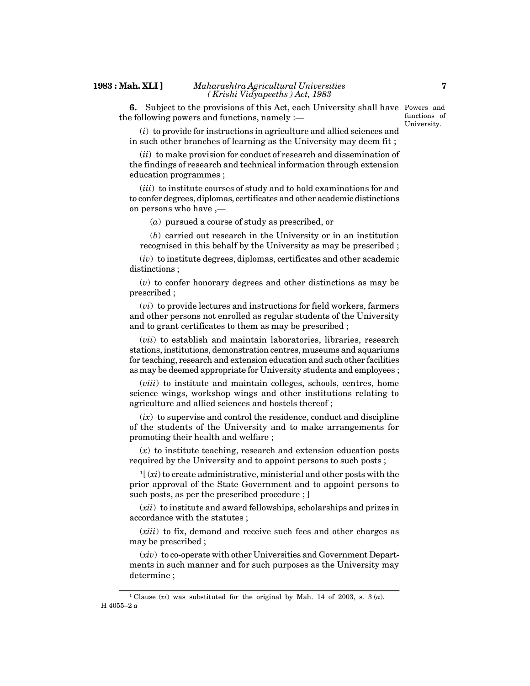**6.** Subject to the provisions of this Act, each University shall have Powers and the following powers and functions, namely :—

functions of University.

(*i*) to provide for instructions in agriculture and allied sciences and in such other branches of learning as the University may deem fit ;

(*ii*) to make provision for conduct of research and dissemination of the findings of research and technical information through extension education programmes ;

(*iii*) to institute courses of study and to hold examinations for and to confer degrees, diplomas, certificates and other academic distinctions on persons who have ,—

(*a*) pursued a course of study as prescribed, or

(*b*) carried out research in the University or in an institution recognised in this behalf by the University as may be prescribed ;

(*iv*) to institute degrees, diplomas, certificates and other academic distinctions ;

(*v*) to confer honorary degrees and other distinctions as may be prescribed ;

(*vi*) to provide lectures and instructions for field workers, farmers and other persons not enrolled as regular students of the University and to grant certificates to them as may be prescribed ;

(*vii*) to establish and maintain laboratories, libraries, research stations, institutions, demonstration centres, museums and aquariums for teaching, research and extension education and such other facilities as may be deemed appropriate for University students and employees ;

(*viii*) to institute and maintain colleges, schools, centres, home science wings, workshop wings and other institutions relating to agriculture and allied sciences and hostels thereof ;

 $(ix)$  to supervise and control the residence, conduct and discipline of the students of the University and to make arrangements for promoting their health and welfare ;

(*x*) to institute teaching, research and extension education posts required by the University and to appoint persons to such posts ;

<sup>1</sup>[ (*xi*) to create administrative, ministerial and other posts with the prior approval of the State Government and to appoint persons to such posts, as per the prescribed procedure ; ]

(*xii*) to institute and award fellowships, scholarships and prizes in accordance with the statutes ;

(*xiii*) to fix, demand and receive such fees and other charges as may be prescribed ;

(*xiv*) to co-operate with other Universities and Government Departments in such manner and for such purposes as the University may determine ;

<sup>&</sup>lt;sup>1</sup> Clause  $(x_i)$  was substituted for the original by Mah. 14 of 2003, s. 3  $(a)$ . H 4055–2 *a*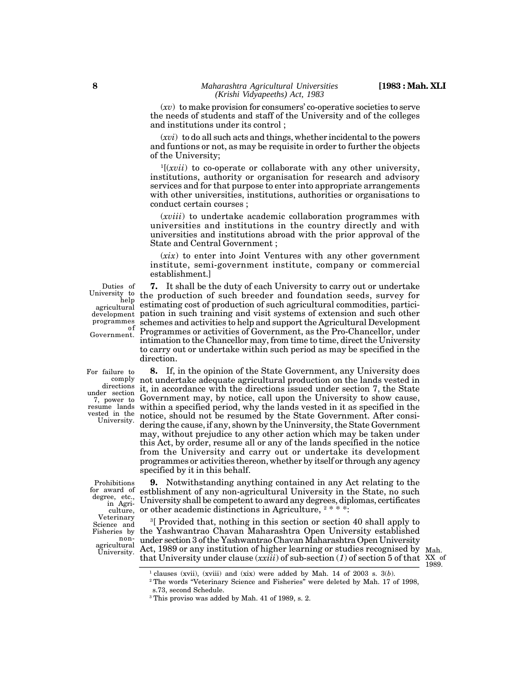(*xv*) to make provision for consumers' co-operative societies to serve the needs of students and staff of the University and of the colleges and institutions under its control ;

(*xvi*) to do all such acts and things, whether incidental to the powers and funtions or not, as may be requisite in order to further the objects of the University;

<sup>1</sup>[(*xvii*) to co-operate or collaborate with any other university, institutions, authority or organisation for research and advisory services and for that purpose to enter into appropriate arrangements with other universities, institutions, authorities or organisations to conduct certain courses ;

(*xviii*) to undertake academic collaboration programmes with universities and institutions in the country directly and with universities and institutions abroad with the prior approval of the State and Central Government ;

(*xix*) to enter into Joint Ventures with any other government institute, semi-government institute, company or commercial establishment.]

Duties of agricultural development programmes Government.

**7.** It shall be the duty of each University to carry out or undertake University to the production of such breeder and foundation seeds, survey for  $h^{[0]}$  and  $h^{[1]}$  and  $h^{[2]}$  and  $h^{[2]}$  and  $h^{[2]}$  and  $h^{[2]}$  and  $h^{[2]}$  and  $h^{[2]}$  and  $h^{[2]}$  and  $h^{[2]}$  and  $h^{[2]}$  and  $h^{[2]}$  and estimating cost of production of such agricultural commodities, participation in such training and visit systems of extension and such other schemes and activities to help and support the Agricultural Development of Programmes or activities of Government, as the Pro-Chancellor, under intimation to the Chancellor may, from time to time, direct the University to carry out or undertake within such period as may be specified in the direction.

For failure to directions under section 7, power to resume lands vested in the University.

**8.** If, in the opinion of the State Government, any University does  $\operatorname{comply}$  not undertake adequate agricultural production on the lands vested in it, in accordance with the directions issued under section 7, the State Government may, by notice, call upon the University to show cause, within a specified period, why the lands vested in it as specified in the notice, should not be resumed by the State Government. After considering the cause, if any, shown by the Uninversity, the State Government may, without prejudice to any other action which may be taken under this Act, by order, resume all or any of the lands specified in the notice from the University and carry out or undertake its development programmes or activities thereon, whether by itself or through any agency specified by it in this behalf.

Prohibitions for award of degree, etc., in Agriculture, Veterinary Science and Fisheries by non agricultural

**9.** Notwithstanding anything contained in any Act relating to the estblishment of any non-agricultural University in the State, no such University shall be competent to award any degrees, diplomas, certificates or other academic distinctions in Agriculture,  $2$  \* \* \*:

<sup>3</sup>[ Provided that, nothing in this section or section 40 shall apply to the Yashwantrao Chavan Maharashtra Open University established under section 3 of the Yashwantrao Chavan Maharashtra Open University griculum Act, 1989 or any institution of higher learning or studies recognised by Mah. that University under clause (*xxiii*) of sub-section (*1*) of section 5 of that

XX of 1989.

<sup>&</sup>lt;sup>1</sup> clauses (xvii), (xviii) and (xix) were added by Mah. 14 of 2003 s.  $3(b)$ .

<sup>2</sup> The words "Veterinary Science and Fisheries" were deleted by Mah. 17 of 1998,

s.73, second Schedule.

<sup>3</sup> This proviso was added by Mah. 41 of 1989, s. 2.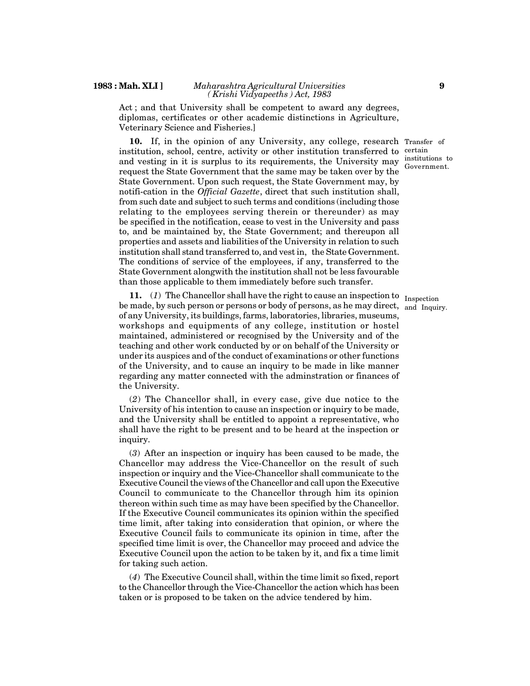#### **1983 : Mah. XLI ]** *Maharashtra Agricultural Universities ( Krishi Vidyapeeths ) Act, 1983*

Act ; and that University shall be competent to award any degrees, diplomas, certificates or other academic distinctions in Agriculture, Veterinary Science and Fisheries.]

**10.** If, in the opinion of any University, any college, research Transfer of institution, school, centre, activity or other institution transferred to and vesting in it is surplus to its requirements, the University may request the State Government that the same may be taken over by the State Government. Upon such request, the State Government may, by notifi-cation in the *Official Gazette*, direct that such institution shall, from such date and subject to such terms and conditions (including those relating to the employees serving therein or thereunder) as may be specified in the notification, cease to vest in the University and pass to, and be maintained by, the State Government; and thereupon all properties and assets and liabilities of the University in relation to such institution shall stand transferred to, and vest in, the State Government. The conditions of service of the employees, if any, transferred to the State Government alongwith the institution shall not be less favourable than those applicable to them immediately before such transfer.

**11.** (*1*) The Chancellor shall have the right to cause an inspection to Inspection be made, by such person or persons or body of persons, as he may direct, and Inquiry. of any University, its buildings, farms, laboratories, libraries, museums, workshops and equipments of any college, institution or hostel maintained, administered or recognised by the University and of the teaching and other work conducted by or on behalf of the University or under its auspices and of the conduct of examinations or other functions of the University, and to cause an inquiry to be made in like manner regarding any matter connected with the adminstration or finances of the University.

(*2*) The Chancellor shall, in every case, give due notice to the University of his intention to cause an inspection or inquiry to be made, and the University shall be entitled to appoint a representative, who shall have the right to be present and to be heard at the inspection or inquiry.

(*3*) After an inspection or inquiry has been caused to be made, the Chancellor may address the Vice-Chancellor on the result of such inspection or inquiry and the Vice-Chancellor shall communicate to the Executive Council the views of the Chancellor and call upon the Executive Council to communicate to the Chancellor through him its opinion thereon within such time as may have been specified by the Chancellor. If the Executive Council communicates its opinion within the specified time limit, after taking into consideration that opinion, or where the Executive Council fails to communicate its opinion in time, after the specified time limit is over, the Chancellor may proceed and advice the Executive Council upon the action to be taken by it, and fix a time limit for taking such action.

(*4*) The Executive Council shall, within the time limit so fixed, report to the Chancellor through the Vice-Chancellor the action which has been taken or is proposed to be taken on the advice tendered by him.

certain institutions to Government.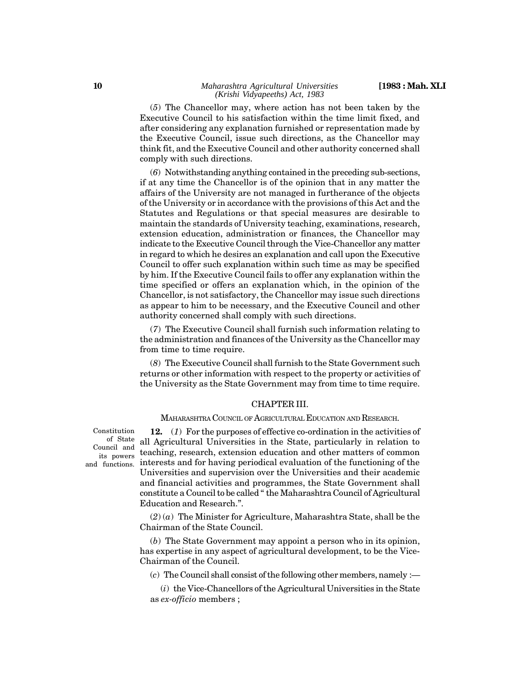(*5*) The Chancellor may, where action has not been taken by the Executive Council to his satisfaction within the time limit fixed, and after considering any explanation furnished or representation made by the Executive Council, issue such directions, as the Chancellor may think fit, and the Executive Council and other authority concerned shall comply with such directions.

(*6*) Notwithstanding anything contained in the preceding sub-sections, if at any time the Chancellor is of the opinion that in any matter the affairs of the University are not managed in furtherance of the objects of the University or in accordance with the provisions of this Act and the Statutes and Regulations or that special measures are desirable to maintain the standards of University teaching, examinations, research, extension education, administration or finances, the Chancellor may indicate to the Executive Council through the Vice-Chancellor any matter in regard to which he desires an explanation and call upon the Executive Council to offer such explanation within such time as may be specified by him. If the Executive Council fails to offer any explanation within the time specified or offers an explanation which, in the opinion of the Chancellor, is not satisfactory, the Chancellor may issue such directions as appear to him to be necessary, and the Executive Council and other authority concerned shall comply with such directions.

(*7*) The Executive Council shall furnish such information relating to the administration and finances of the University as the Chancellor may from time to time require.

(*8*) The Executive Council shall furnish to the State Government such returns or other information with respect to the property or activities of the University as the State Government may from time to time require.

#### CHAPTER III.

MAHARASHTRA COUNCIL OF AGRICULTURAL EDUCATION AND RESEARCH.

Constitution of State Council and its powers

**12.** (*1*) For the purposes of effective co-ordination in the activities of all Agricultural Universities in the State, particularly in relation to teaching, research, extension education and other matters of common and functions. interests and for having periodical evaluation of the functioning of the Universities and supervision over the Universities and their academic and financial activities and programmes, the State Government shall constitute a Council to be called " the Maharashtra Council of Agricultural Education and Research.".

> $(2)$  ( $a)$ ) The Minister for Agriculture, Maharashtra State, shall be the Chairman of the State Council.

> (*b*) The State Government may appoint a person who in its opinion, has expertise in any aspect of agricultural development, to be the Vice-Chairman of the Council.

(*c*) The Council shall consist of the following other members, namely :—

(*i*) the Vice-Chancellors of the Agricultural Universities in the State as *ex-officio* members ;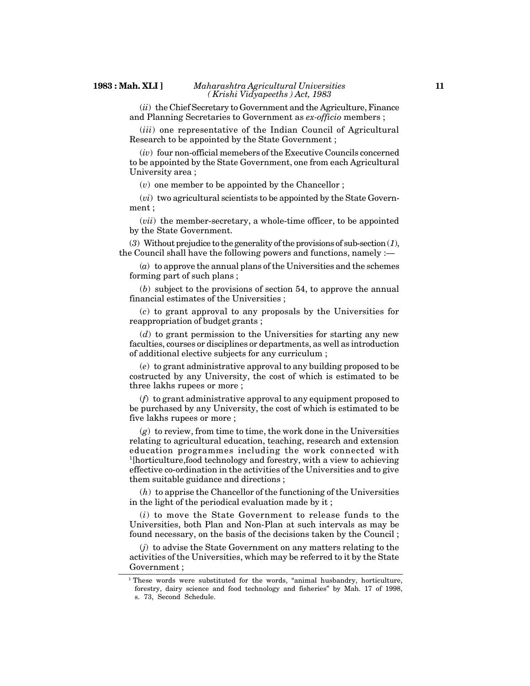(*ii*) the Chief Secretary to Government and the Agriculture, Finance and Planning Secretaries to Government as *ex-officio* members ;

(*iii*) one representative of the Indian Council of Agricultural Research to be appointed by the State Government ;

(*iv*) four non-official memebers of the Executive Councils concerned to be appointed by the State Government, one from each Agricultural University area ;

(*v*) one member to be appointed by the Chancellor ;

(*vi*) two agricultural scientists to be appointed by the State Government ;

(*vii*) the member-secretary, a whole-time officer, to be appointed by the State Government.

(*3*) Without prejudice to the generality of the provisions of sub-section (*1*), the Council shall have the following powers and functions, namely :—

(*a*) to approve the annual plans of the Universities and the schemes forming part of such plans ;

(*b*) subject to the provisions of section 54, to approve the annual financial estimates of the Universities ;

(*c*) to grant approval to any proposals by the Universities for reappropriation of budget grants ;

(*d*) to grant permission to the Universities for starting any new faculties, courses or disciplines or departments, as well as introduction of additional elective subjects for any curriculum ;

(*e*) to grant administrative approval to any building proposed to be costructed by any University, the cost of which is estimated to be three lakhs rupees or more ;

(*f*) to grant administrative approval to any equipment proposed to be purchased by any University, the cost of which is estimated to be five lakhs rupees or more ;

(*g*) to review, from time to time, the work done in the Universities relating to agricultural education, teaching, research and extension education programmes including the work connected with <sup>1</sup>[horticulture,food technology and forestry, with a view to achieving effective co-ordination in the activities of the Universities and to give them suitable guidance and directions ;

(*h*) to apprise the Chancellor of the functioning of the Universities in the light of the periodical evaluation made by it ;

(*i*) to move the State Government to release funds to the Universities, both Plan and Non-Plan at such intervals as may be found necessary, on the basis of the decisions taken by the Council ;

(*j*) to advise the State Government on any matters relating to the activities of the Universities, which may be referred to it by the State Government ;

<sup>&</sup>lt;sup>1</sup> These words were substituted for the words, "animal husbandry, horticulture, forestry, dairy science and food technology and fisheries" by Mah. 17 of 1998, s. 73, Second Schedule.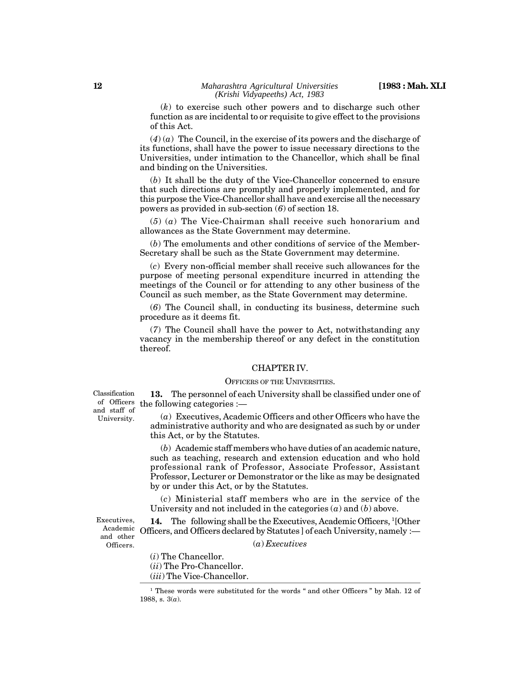(*k*) to exercise such other powers and to discharge such other function as are incidental to or requisite to give effect to the provisions of this Act.

 $(4)(a)$  The Council, in the exercise of its powers and the discharge of its functions, shall have the power to issue necessary directions to the Universities, under intimation to the Chancellor, which shall be final and binding on the Universities.

(*b*) It shall be the duty of the Vice-Chancellor concerned to ensure that such directions are promptly and properly implemented, and for this purpose the Vice-Chancellor shall have and exercise all the necessary powers as provided in sub-section (*6*) of section 18.

(*5*) (*a*) The Vice-Chairman shall receive such honorarium and allowances as the State Government may determine.

(*b*) The emoluments and other conditions of service of the Member-Secretary shall be such as the State Government may determine.

(*c*) Every non-official member shall receive such allowances for the purpose of meeting personal expenditure incurred in attending the meetings of the Council or for attending to any other business of the Council as such member, as the State Government may determine.

(*6*) The Council shall, in conducting its business, determine such procedure as it deems fit.

(*7*) The Council shall have the power to Act, notwithstanding any vacancy in the membership thereof or any defect in the constitution thereof.

#### CHAPTER IV.

#### OFFICERS OF THE UNIVERSITIES.

**13.** The personnel of each University shall be classified under one of of Officers the following categories  $:$   $\rightarrow$ 

> (*a*) Executives, Academic Officers and other Officers who have the administrative authority and who are designated as such by or under this Act, or by the Statutes.

> (*b*) Academic staff members who have duties of an academic nature, such as teaching, research and extension education and who hold professional rank of Professor, Associate Professor, Assistant Professor, Lecturer or Demonstrator or the like as may be designated by or under this Act, or by the Statutes.

> (*c*) Ministerial staff members who are in the service of the University and not included in the categories (*a*) and (*b*) above.

Executives, Academic and other Officers.

14. The following shall be the Executives, Academic Officers, <sup>1</sup>[Other] Officers, and Officers declared by Statutes ] of each University, namely :—

(*a*) *Executives*

(*i*) The Chancellor. (*ii*) The Pro-Chancellor.

(*iii*) The Vice-Chancellor.

Classification and staff of University.

<sup>&</sup>lt;sup>1</sup> These words were substituted for the words " and other Officers " by Mah. 12 of 1988, s. 3(*a*).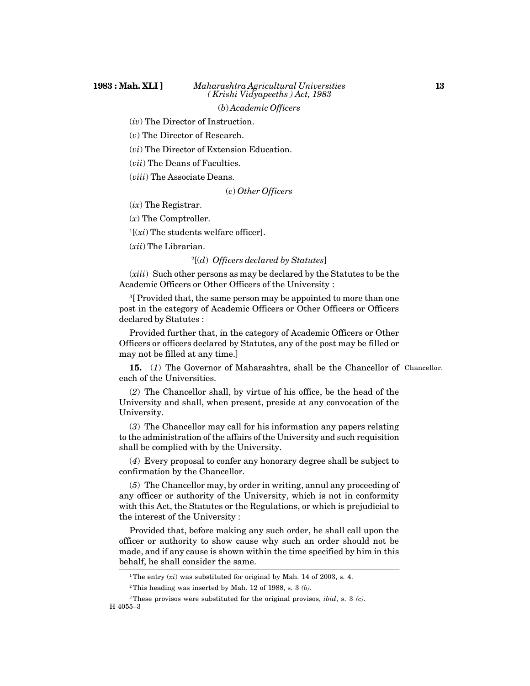(*iv*) The Director of Instruction.

(*v*) The Director of Research.

(*vi*) The Director of Extension Education.

(*vii*) The Deans of Faculties.

(*viii*) The Associate Deans.

(*c*) *Other Officers*

(*ix*) The Registrar.

(*x*) The Comptroller.

 $1[(xi)$  The students welfare officer].

(*xii*) The Librarian.

<sup>2</sup>[(*d*) *Officers declared by Statutes*]

(*xiii*) Such other persons as may be declared by the Statutes to be the Academic Officers or Other Officers of the University :

<sup>3</sup>[ Provided that, the same person may be appointed to more than one post in the category of Academic Officers or Other Officers or Officers declared by Statutes :

Provided further that, in the category of Academic Officers or Other Officers or officers declared by Statutes, any of the post may be filled or may not be filled at any time.]

**15.** (*1*) The Governor of Maharashtra, shall be the Chancellor of Chancellor. each of the Universities.

(*2*) The Chancellor shall, by virtue of his office, be the head of the University and shall, when present, preside at any convocation of the University.

(*3*) The Chancellor may call for his information any papers relating to the administration of the affairs of the University and such requisition shall be complied with by the University.

(*4*) Every proposal to confer any honorary degree shall be subject to confirmation by the Chancellor.

(*5*) The Chancellor may, by order in writing, annul any proceeding of any officer or authority of the University, which is not in conformity with this Act, the Statutes or the Regulations, or which is prejudicial to the interest of the University :

Provided that, before making any such order, he shall call upon the officer or authority to show cause why such an order should not be made, and if any cause is shown within the time specified by him in this behalf, he shall consider the same.

<sup>&</sup>lt;sup>1</sup>The entry  $(xi)$  was substituted for original by Mah. 14 of 2003, s. 4.

<sup>2</sup>This heading was inserted by Mah. 12 of 1988, s. 3 *(b)*.

<sup>3</sup>These provisos were substituted for the original provisos, *ibid*, s. 3 *(c)*. H 4055–3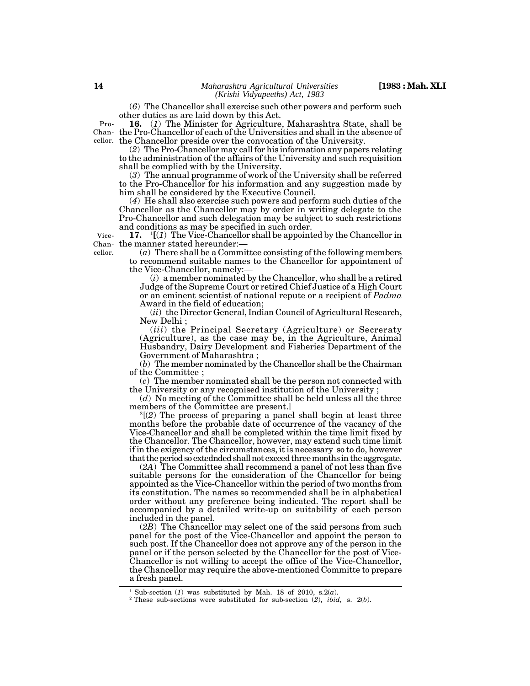(*6*) The Chancellor shall exercise such other powers and perform such other duties as are laid down by this Act.

**16.** (*1*) The Minister for Agriculture, Maharashtra State, shall be the Pro-Chancellor of each of the Universities and shall in the absence of Chancellor. the Chancellor preside over the convocation of the University. Pro-

(*2*) The Pro-Chancellor may call for his information any papers relating to the administration of the affairs of the University and such requisition shall be complied with by the University.

(*3*) The annual programme of work of the University shall be referred to the Pro-Chancellor for his information and any suggestion made by him shall be considered by the Executive Council.

(*4*) He shall also exercise such powers and perform such duties of the Chancellor as the Chancellor may by order in writing delegate to the Pro-Chancellor and such delegation may be subject to such restrictions and conditions as may be specified in such order.

**17.** <sup>1</sup>**[**(*1*) The Vice-Chancellor shall be appointed by the Chancellor in Chan- the manner stated hereunder:— Vicecellor.

(*a*) There shall be a Committee consisting of the following members to recommend suitable names to the Chancellor for appointment of the Vice-Chancellor, namely:—

 $(i)$  a member nominated by the Chancellor, who shall be a retired Judge of the Supreme Court or retired Chief Justice of a High Court or an eminent scientist of national repute or a recipient of *Padma* Award in the field of education;

(*ii*) the Director General, Indian Council of Agricultural Research, New Delhi ;

(*iii*) the Principal Secretary (Agriculture) or Secreraty (Agriculture), as the case may be, in the Agriculture, Animal Husbandry, Dairy Development and Fisheries Department of the Government of Maharashtra ;

(*b*) The member nominated by the Chancellor shall be the Chairman of the Committee ;

(*c*) The member nominated shall be the person not connected with the University or any recognised institution of the University ;

(*d*) No meeting of the Committee shall be held unless all the three members of the Committee are present.]

<sup>2</sup>[(*2*) The process of preparing a panel shall begin at least three months before the probable date of occurrence of the vacancy of the Vice-Chancellor and shall be completed within the time limit fixed by the Chancellor. The Chancellor, however, may extend such time limit if in the exigency of the circumstances, it is necessary so to do, however that the period so extednded shall not exceed three months in the aggregate.

(*2A*) The Committee shall recommend a panel of not less than five suitable persons for the consideration of the Chancellor for being appointed as the Vice-Chancellor within the period of two months from its constitution. The names so recommended shall be in alphabetical order without any preference being indicated. The report shall be accompanied by a detailed write-up on suitability of each person included in the panel.

(*2B*) The Chancellor may select one of the said persons from such panel for the post of the Vice-Chancellor and appoint the person to such post. If the Chancellor does not approve any of the person in the panel or if the person selected by the Chancellor for the post of Vice-Chancellor is not willing to accept the office of the Vice-Chancellor, the Chancellor may require the above-mentioned Committe to prepare a fresh panel.

<sup>&</sup>lt;sup>1</sup> Sub-section (*1*) was substituted by Mah. 18 of 2010, s.2(*a*).

<sup>2</sup> These sub-sections were substituted for sub-section (*2*), *ibid,* s. 2(*b*).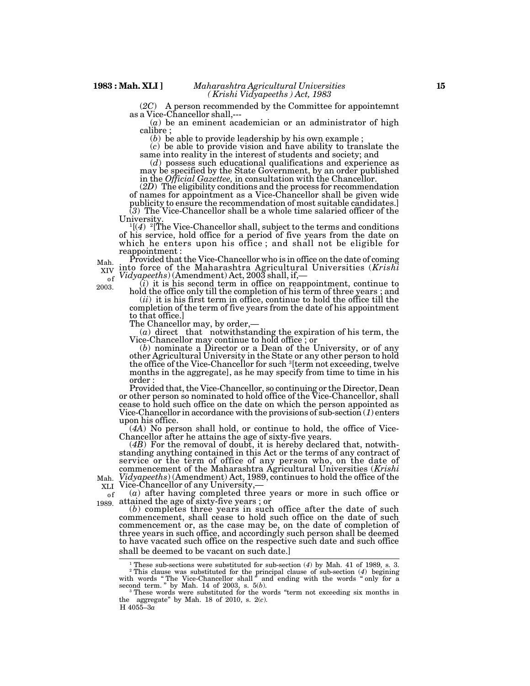(*2C*) A person recommended by the Committee for appointemnt as a Vice-Chancellor shall,---

(*a*) be an eminent academician or an administrator of high calibre ;

(*b*) be able to provide leadership by his own example ; (*c*) be able to provide vision and have ability to translate the same into reality in the interest of students and society; and

(*d*) possess such educational qualifications and experience as may be specified by the State Government, by an order published in the *Official Gazettee,* in consultation with the Chancellor.

(*2D*) The eligibility conditions and the process for recommendation of names for appointment as a Vice-Chancellor shall be given wide publicity to ensure the recommendation of most suitable candidates.] (*3*) The Vice-Chancellor shall be a whole time salaried officer of the

University.<br> ${}^{1}[(4)$ <sup>2</sup>[The Vice-Chancellor shall, subject to the terms and conditions of his service, hold office for a period of five years from the date on which he enters upon his office ; and shall not be eligible for reappointment :

Provided that the Vice-Chancellor who is in office on the date of coming into force of the Maharashtra Agricultural Universities (*Krishi* XIV Theo force of the Manarashtra Agricultural Oniversities Mah. of  $^{\prime\prime\prime}$ 

2003.

 $(i)$  it is his second term in office on reappointment, continue to hold the office only till the completion of his term of three years ; and

(*ii*) it is his first term in office, continue to hold the office till the completion of the term of five years from the date of his appointment to that office.]

The Chancellor may, by order,—

 $(a)$  direct that notwithstanding the expiration of his term, the Vice-Chancellor may continue to hold office ; or

(*b*) nominate a Director or a Dean of the University, or of any other Agricultural University in the State or any other person to hold the office of the Vice-Chancellor for such <sup>3</sup>[term not exceeding, twelve months in the aggregate], as he may specify from time to time in his order :

Provided that, the Vice-Chancellor, so continuing or the Director, Dean cease to hold such office on the date on which the person appointed as<br>Vice-Chancellor in accordance with the provisions of sub-section  $(1)$  enters<br>upon his office.<br> $(4A)$  No person shall hold, or continue to hold, the o

Chancellor after he attains the age of sixty-five years.<br>  $(4B)$  For the removal of doubt, it is hereby declared that, notwith-<br>
standing anything contained in this Act or the terms of any contract of<br>
service or the term

*Mah. Vidyapeeths*) (Amendment) Act, 1989, continues to hold the office of the <sub>XLI</sub> Vice-Chancellor of any University,— XLI Vice-Chancellor of any University,-

 $(a)$  after having completed three years or more in such office or of <u>J</u> 1989.

(*b*) completes three years in such office after the date of such commencement, shall cease to hold such office on the date of such commencement or, as the case may be, on the date of completion of three years in such office, and accordingly such person shall be deemed to have vacated such office on the respective such date and such office shall be deemed to be vacant on such date.]

H 4055–3*a* the aggregate" by Mah. 18 of 2010, s. 2(*c*).

<sup>1</sup> These sub-sections were substituted for sub-section (*4*) by Mah. 41 of 1989, s. 3. <sup>2</sup> This clause was substituted for the principal clause of sub-section (*4*) begining with words " The Vice-Chancellor shall " and ending with the words " only for a

second term. " by Mah. 14 of 2003, s. 5(*b*). <sup>3</sup> These words were substituted for the words "term not exceeding six months in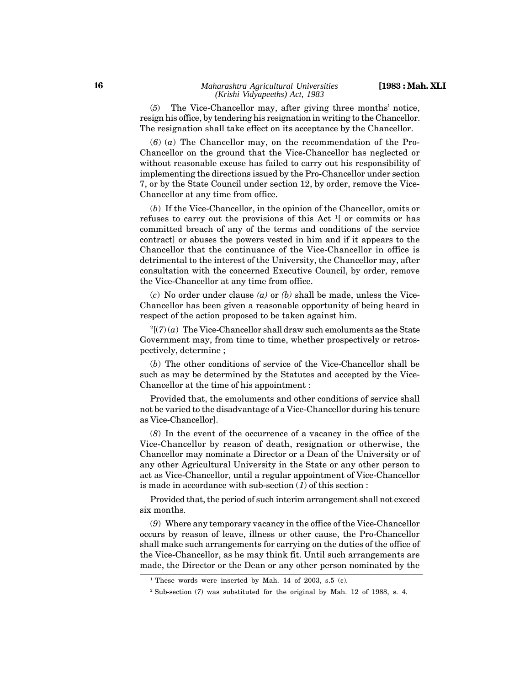(*5*) The Vice-Chancellor may, after giving three months' notice, resign his office, by tendering his resignation in writing to the Chancellor. The resignation shall take effect on its acceptance by the Chancellor.

(*6*) (*a*) The Chancellor may, on the recommendation of the Pro-Chancellor on the ground that the Vice-Chancellor has neglected or without reasonable excuse has failed to carry out his responsibility of implementing the directions issued by the Pro-Chancellor under section 7, or by the State Council under section 12, by order, remove the Vice-Chancellor at any time from office.

(*b*) If the Vice-Chancellor, in the opinion of the Chancellor, omits or refuses to carry out the provisions of this Act <sup>1</sup>[ or commits or has committed breach of any of the terms and conditions of the service contract] or abuses the powers vested in him and if it appears to the Chancellor that the continuance of the Vice-Chancellor in office is detrimental to the interest of the University, the Chancellor may, after consultation with the concerned Executive Council, by order, remove the Vice-Chancellor at any time from office.

(*c*) No order under clause *(a)* or *(b)* shall be made, unless the Vice-Chancellor has been given a reasonable opportunity of being heard in respect of the action proposed to be taken against him.

 $2[(7)(a)$  The Vice-Chancellor shall draw such emoluments as the State Government may, from time to time, whether prospectively or retrospectively, determine ;

(*b*) The other conditions of service of the Vice-Chancellor shall be such as may be determined by the Statutes and accepted by the Vice-Chancellor at the time of his appointment :

Provided that, the emoluments and other conditions of service shall not be varied to the disadvantage of a Vice-Chancellor during his tenure as Vice-Chancellor].

(*8*) In the event of the occurrence of a vacancy in the office of the Vice-Chancellor by reason of death, resignation or otherwise, the Chancellor may nominate a Director or a Dean of the University or of any other Agricultural University in the State or any other person to act as Vice-Chancellor, until a regular appointment of Vice-Chancellor is made in accordance with sub-section (*1*) of this section :

Provided that, the period of such interim arrangement shall not exceed six months.

(*9*) Where any temporary vacancy in the office of the Vice-Chancellor occurs by reason of leave, illness or other cause, the Pro-Chancellor shall make such arrangements for carrying on the duties of the office of the Vice-Chancellor, as he may think fit. Until such arrangements are made, the Director or the Dean or any other person nominated by the

<sup>&</sup>lt;sup>1</sup> These words were inserted by Mah. 14 of 2003, s.5 (c).

<sup>2</sup> Sub-section (*7*) was substituted for the original by Mah. 12 of 1988, s. 4.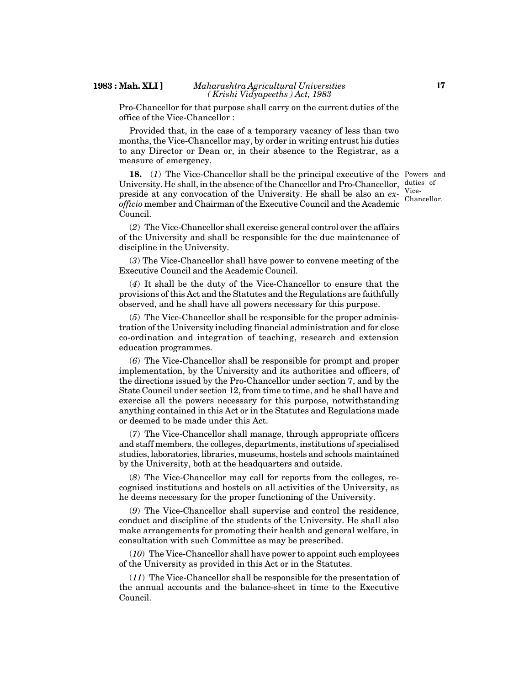#### **1983 : Mah. XLI ]** *Maharashtra Agricultural Universities ( Krishi Vidyapeeths ) Act, 1983*

Pro-Chancellor for that purpose shall carry on the current duties of the office of the Vice-Chancellor :

Provided that, in the case of a temporary vacancy of less than two months, the Vice-Chancellor may, by order in writing entrust his duties to any Director or Dean or, in their absence to the Registrar, as a measure of emergency.

**18.** (*1*) The Vice-Chancellor shall be the principal executive of the Powers and University. He shall, in the absence of the Chancellor and Pro-Chancellor, duties of preside at any convocation of the University. He shall be also an  $ex$ - Vice*officio* member and Chairman of the Executive Council and the Academic Council.

(*2*) The Vice-Chancellor shall exercise general control over the affairs of the University and shall be responsible for the due maintenance of discipline in the University.

(*3*) The Vice-Chancellor shall have power to convene meeting of the Executive Council and the Academic Council.

(*4*) It shall be the duty of the Vice-Chancellor to ensure that the provisions of this Act and the Statutes and the Regulations are faithfully observed, and he shall have all powers necessary for this purpose.

(*5*) The Vice-Chancellor shall be responsible for the proper administration of the University including financial administration and for close co-ordination and integration of teaching, research and extension education programmes.

(*6*) The Vice-Chancellor shall be responsible for prompt and proper implementation, by the University and its authorities and officers, of the directions issued by the Pro-Chancellor under section 7, and by the State Council under section 12, from time to time, and he shall have and exercise all the powers necessary for this purpose, notwithstanding anything contained in this Act or in the Statutes and Regulations made or deemed to be made under this Act.

(*7*) The Vice-Chancellor shall manage, through appropriate officers and staff members, the colleges, departments, institutions of specialised studies, laboratories, libraries, museums, hostels and schools maintained by the University, both at the headquarters and outside.

(*8*) The Vice-Chancellor may call for reports from the colleges, recognised institutions and hostels on all activities of the University, as he deems necessary for the proper functioning of the University.

(*9*) The Vice-Chancellor shall supervise and control the residence, conduct and discipline of the students of the University. He shall also make arrangements for promoting their health and general welfare, in consultation with such Committee as may be prescribed.

(*10*) The Vice-Chancellor shall have power to appoint such employees of the University as provided in this Act or in the Statutes.

(*11*) The Vice-Chancellor shall be responsible for the presentation of the annual accounts and the balance-sheet in time to the Executive Council.

Chancellor.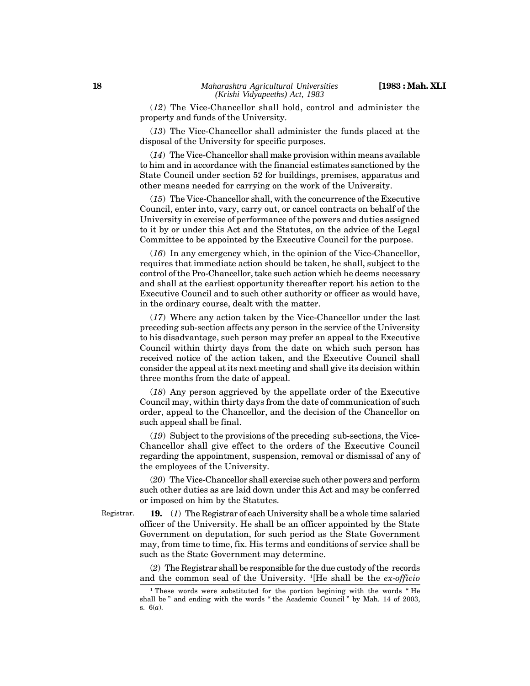(*12*) The Vice-Chancellor shall hold, control and administer the property and funds of the University.

(*13*) The Vice-Chancellor shall administer the funds placed at the disposal of the University for specific purposes.

(*14*) The Vice-Chancellor shall make provision within means available to him and in accordance with the financial estimates sanctioned by the State Council under section 52 for buildings, premises, apparatus and other means needed for carrying on the work of the University.

(*15*) The Vice-Chancellor shall, with the concurrence of the Executive Council, enter into, vary, carry out, or cancel contracts on behalf of the University in exercise of performance of the powers and duties assigned to it by or under this Act and the Statutes, on the advice of the Legal Committee to be appointed by the Executive Council for the purpose.

(*16*) In any emergency which, in the opinion of the Vice-Chancellor, requires that immediate action should be taken, he shall, subject to the control of the Pro-Chancellor, take such action which he deems necessary and shall at the earliest opportunity thereafter report his action to the Executive Council and to such other authority or officer as would have, in the ordinary course, dealt with the matter.

(*17*) Where any action taken by the Vice-Chancellor under the last preceding sub-section affects any person in the service of the University to his disadvantage, such person may prefer an appeal to the Executive Council within thirty days from the date on which such person has received notice of the action taken, and the Executive Council shall consider the appeal at its next meeting and shall give its decision within three months from the date of appeal.

(*18*) Any person aggrieved by the appellate order of the Executive Council may, within thirty days from the date of communication of such order, appeal to the Chancellor, and the decision of the Chancellor on such appeal shall be final.

(*19*) Subject to the provisions of the preceding sub-sections, the Vice-Chancellor shall give effect to the orders of the Executive Council regarding the appointment, suspension, removal or dismissal of any of the employees of the University.

(*20*) The Vice-Chancellor shall exercise such other powers and perform such other duties as are laid down under this Act and may be conferred or imposed on him by the Statutes.

Registrar.

**19.** (*1*) The Registrar of each University shall be a whole time salaried officer of the University. He shall be an officer appointed by the State Government on deputation, for such period as the State Government may, from time to time, fix. His terms and conditions of service shall be such as the State Government may determine.

(*2*) The Registrar shall be responsible for the due custody of the records and the common seal of the University. <sup>1</sup>[He shall be the *ex-officio*

<sup>&</sup>lt;sup>1</sup> These words were substituted for the portion begining with the words "He shall be " and ending with the words " the Academic Council " by Mah. 14 of 2003, s. 6(*a*).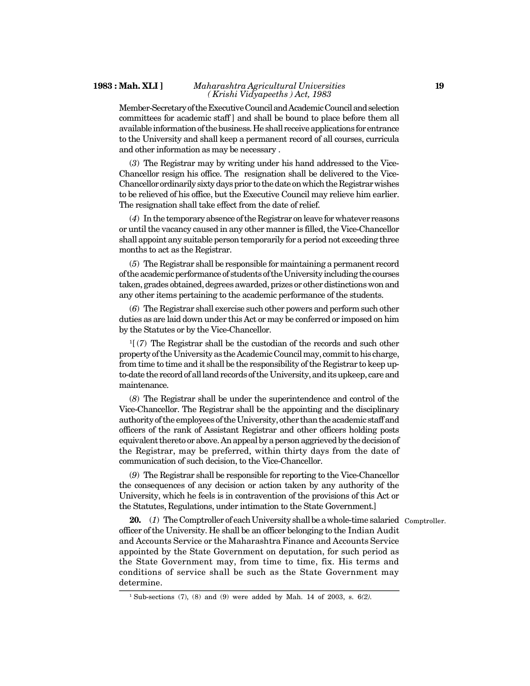#### **1983 : Mah. XLI ]** *Maharashtra Agricultural Universities ( Krishi Vidyapeeths ) Act, 1983*

Member-Secretary of the Executive Council and Academic Council and selection committees for academic staff ] and shall be bound to place before them all available information of the business. He shall receive applications for entrance to the University and shall keep a permanent record of all courses, curricula and other information as may be necessary .

(*3*) The Registrar may by writing under his hand addressed to the Vice-Chancellor resign his office. The resignation shall be delivered to the Vice-Chancellor ordinarily sixty days prior to the date on which the Registrar wishes to be relieved of his office, but the Executive Council may relieve him earlier. The resignation shall take effect from the date of relief.

(*4*) In the temporary absence of the Registrar on leave for whatever reasons or until the vacancy caused in any other manner is filled, the Vice-Chancellor shall appoint any suitable person temporarily for a period not exceeding three months to act as the Registrar.

(*5*) The Registrar shall be responsible for maintaining a permanent record of the academic performance of students of the University including the courses taken, grades obtained, degrees awarded, prizes or other distinctions won and any other items pertaining to the academic performance of the students.

(*6*) The Registrar shall exercise such other powers and perform such other duties as are laid down under this Act or may be conferred or imposed on him by the Statutes or by the Vice-Chancellor.

 $1/(7)$  The Registrar shall be the custodian of the records and such other property of the University as the Academic Council may, commit to his charge, from time to time and it shall be the responsibility of the Registrar to keep upto-date the record of all land records of the University, and its upkeep, care and maintenance.

(*8*) The Registrar shall be under the superintendence and control of the Vice-Chancellor. The Registrar shall be the appointing and the disciplinary authority of the employees of the University, other than the academic staff and officers of the rank of Assistant Registrar and other officers holding posts equivalent thereto or above. An appeal by a person aggrieved by the decision of the Registrar, may be preferred, within thirty days from the date of communication of such decision, to the Vice-Chancellor.

(*9*) The Registrar shall be responsible for reporting to the Vice-Chancellor the consequences of any decision or action taken by any authority of the University, which he feels is in contravention of the provisions of this Act or the Statutes, Regulations, under intimation to the State Government.]

20. (1) The Comptroller of each University shall be a whole-time salaried Comptroller. officer of the University. He shall be an officer belonging to the Indian Audit and Accounts Service or the Maharashtra Finance and Accounts Service appointed by the State Government on deputation, for such period as the State Government may, from time to time, fix. His terms and conditions of service shall be such as the State Government may determine.

<sup>1</sup> Sub-sections (7), (8) and (9) were added by Mah. 14 of 2003, s. 6*(2).*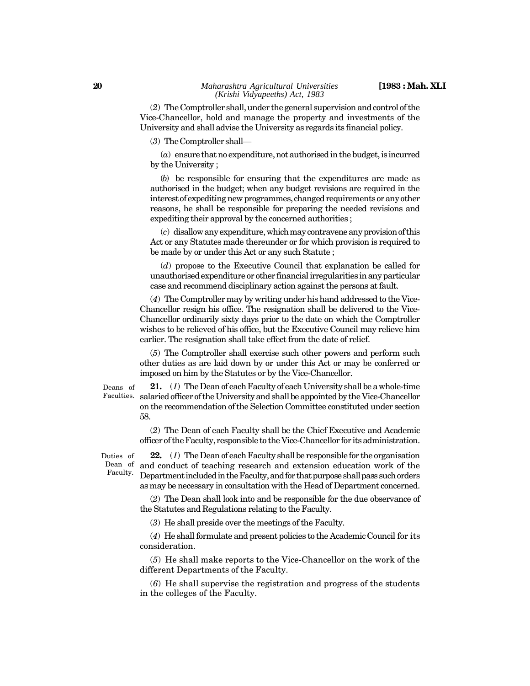(*2*) The Comptroller shall, under the general supervision and control of the Vice-Chancellor, hold and manage the property and investments of the University and shall advise the University as regards its financial policy.

(*3*) TheComptroller shall—

(*a*) ensure that no expenditure, not authorised in the budget, is incurred by the University ;

(*b*) be responsible for ensuring that the expenditures are made as authorised in the budget; when any budget revisions are required in the interest of expediting new programmes, changed requirements or any other reasons, he shall be responsible for preparing the needed revisions and expediting their approval by the concerned authorities ;

(*c*) disallow any expenditure, which may contravene any provision of this Act or any Statutes made thereunder or for which provision is required to be made by or under this Act or any such Statute ;

(*d*) propose to the Executive Council that explanation be called for unauthorised expenditure or other financial irregularities in any particular case and recommend disciplinary action against the persons at fault.

(*4*) The Comptroller may by writing under his hand addressed to the Vice-Chancellor resign his office. The resignation shall be delivered to the Vice-Chancellor ordinarily sixty days prior to the date on which the Comptroller wishes to be relieved of his office, but the Executive Council may relieve him earlier. The resignation shall take effect from the date of relief.

(*5*) The Comptroller shall exercise such other powers and perform such other duties as are laid down by or under this Act or may be conferred or imposed on him by the Statutes or by the Vice-Chancellor.

Deans of

**21.** (*1*) The Dean of each Faculty of each University shall be a whole-time salaried officer of the University and shall be appointed by the Vice-Chancellor Faculties. on the recommendation of the Selection Committee constituted under section 58.

> (*2*) The Dean of each Faculty shall be the Chief Executive and Academic officer of the Faculty, responsible to the Vice-Chancellor for its administration.

Duties of Dean of Faculty.

**22.** (*1*) The Dean of each Faculty shall be responsible for the organisation and conduct of teaching research and extension education work of the Department included in the Faculty, and for that purpose shall pass such orders as may be necessary in consultation with the Head of Department concerned.

(*2*) The Dean shall look into and be responsible for the due observance of the Statutes and Regulations relating to the Faculty.

(*3*) He shall preside over the meetings of the Faculty.

(*4*) He shall formulate and present policies to the Academic Council for its consideration.

(*5*) He shall make reports to the Vice-Chancellor on the work of the different Departments of the Faculty.

(*6*) He shall supervise the registration and progress of the students in the colleges of the Faculty.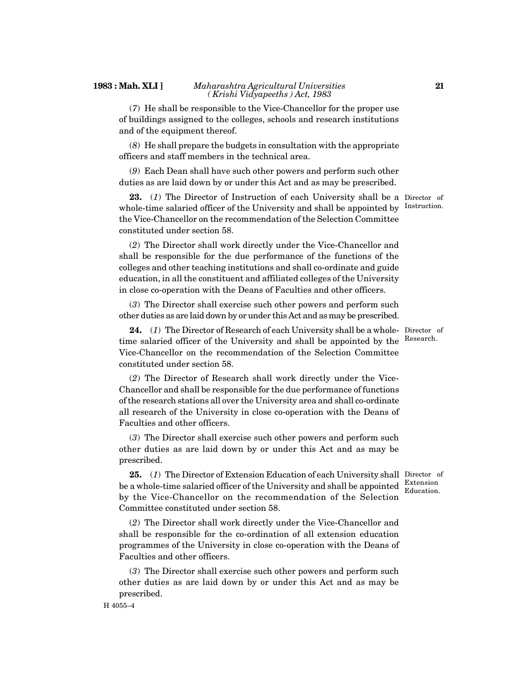#### **1983 : Mah. XLI ]** *Maharashtra Agricultural Universities ( Krishi Vidyapeeths ) Act, 1983*

(*7*) He shall be responsible to the Vice-Chancellor for the proper use of buildings assigned to the colleges, schools and research institutions and of the equipment thereof.

(*8*) He shall prepare the budgets in consultation with the appropriate officers and staff members in the technical area.

(*9*) Each Dean shall have such other powers and perform such other duties as are laid down by or under this Act and as may be prescribed.

23. (1) The Director of Instruction of each University shall be a Director of whole-time salaried officer of the University and shall be appointed by Instruction. the Vice-Chancellor on the recommendation of the Selection Committee constituted under section 58.

(*2*) The Director shall work directly under the Vice-Chancellor and shall be responsible for the due performance of the functions of the colleges and other teaching institutions and shall co-ordinate and guide education, in all the constituent and affiliated colleges of the University in close co-operation with the Deans of Faculties and other officers.

(*3*) The Director shall exercise such other powers and perform such other duties as are laid down by or under this Act and as may be prescribed.

**24.** (*1*) The Director of Research of each University shall be a whole-Director of time salaried officer of the University and shall be appointed by the <sup>Research.</sup> Vice-Chancellor on the recommendation of the Selection Committee constituted under section 58.

(*2*) The Director of Research shall work directly under the Vice-Chancellor and shall be responsible for the due performance of functions of the research stations all over the University area and shall co-ordinate all research of the University in close co-operation with the Deans of Faculties and other officers.

(*3*) The Director shall exercise such other powers and perform such other duties as are laid down by or under this Act and as may be prescribed.

**25.** (*1*) The Director of Extension Education of each University shall Director of be a whole-time salaried officer of the University and shall be appointed  $\frac{\text{Extension}}{\text{Equation}}$ by the Vice-Chancellor on the recommendation of the Selection Committee constituted under section 58. Education.

(*2*) The Director shall work directly under the Vice-Chancellor and shall be responsible for the co-ordination of all extension education programmes of the University in close co-operation with the Deans of Faculties and other officers.

(*3*) The Director shall exercise such other powers and perform such other duties as are laid down by or under this Act and as may be prescribed.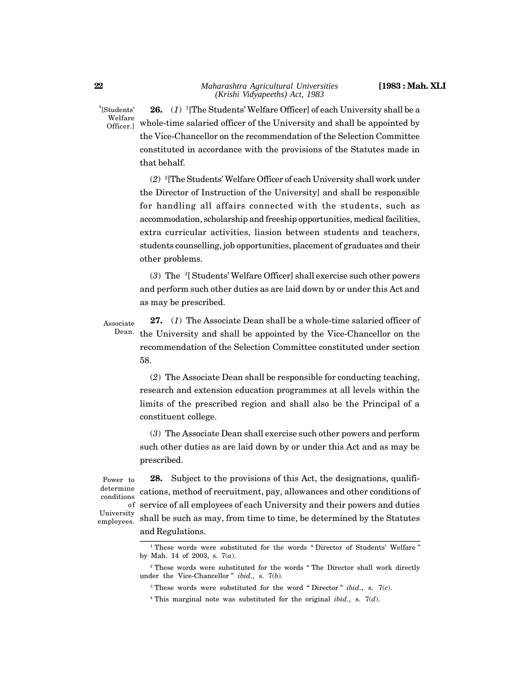<sup>4</sup>[Students' Welfare Officer.]

**26.** (*1*) <sup>1</sup>[The Students' Welfare Officer] of each University shall be a whole-time salaried officer of the University and shall be appointed by the Vice-Chancellor on the recommendation of the Selection Committee constituted in accordance with the provisions of the Statutes made in that behalf.

(*2*) <sup>2</sup>[The Students' Welfare Officer of each University shall work under the Director of Instruction of the University] and shall be responsible for handling all affairs connected with the students, such as accommodation, scholarship and freeship opportunities, medical facilities, extra curricular activities, liasion between students and teachers, students counselling, job opportunities, placement of graduates and their other problems.

(*3*) The <sup>3</sup>[ Students' Welfare Officer] shall exercise such other powers and perform such other duties as are laid down by or under this Act and as may be prescribed.

**27.** (*1*) The Associate Dean shall be a whole-time salaried officer of the University and shall be appointed by the Vice-Chancellor on the recommendation of the Selection Committee constituted under section 58. Associate Dean.

> (*2*) The Associate Dean shall be responsible for conducting teaching, research and extension education programmes at all levels within the limits of the prescribed region and shall also be the Principal of a constituent college.

> (*3*) The Associate Dean shall exercise such other powers and perform such other duties as are laid down by or under this Act and as may be prescribed.

Power to determine conditions University employees.

**28.** Subject to the provisions of this Act, the designations, qualifications, method of recruitment, pay, allowances and other conditions of service of all employees of each University and their powers and duties of shall be such as may, from time to time, be determined by the Statutes and Regulations.

<sup>&</sup>lt;sup>1</sup> These words were substituted for the words " Director of Students' Welfare " by Mah. 14 of 2003, s. 7(*a*).

<sup>&</sup>lt;sup>2</sup> These words were substituted for the words " The Director shall work directly under the Vice-Chancellor " *ibid*., s. 7(*b*).

<sup>3</sup> These words were substituted for the word " Director " *ibid*., s. 7(*c*).

<sup>4</sup> This marginal note was substituted for the original *ibid*., s. 7(*d*).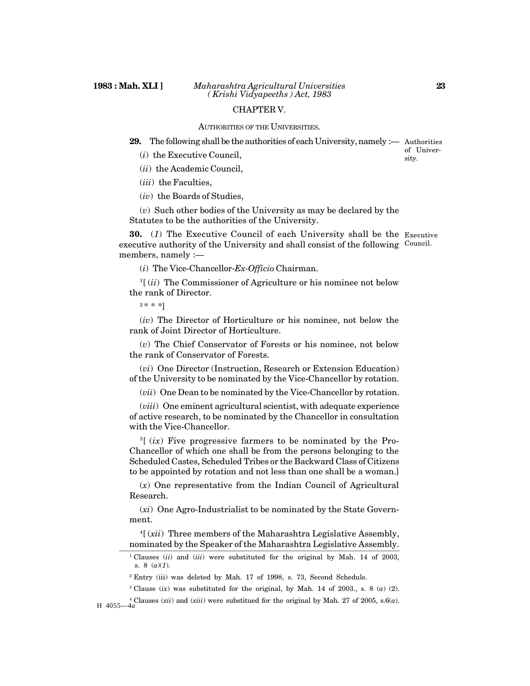#### CHAPTER V.

#### AUTHORITIES OF THE UNIVERSITIES.

**29.** The following shall be the authorities of each University, namely :— Authorities

- (*i*) the Executive Council,
- (*ii*) the Academic Council,
- (*iii*) the Faculties,
- (*iv*) the Boards of Studies,

(*v*) Such other bodies of the University as may be declared by the Statutes to be the authorities of the University.

**30.** (*1*) The Executive Council of each University shall be the Executive executive authority of the University and shall consist of the following Council. members, namely :—

(*i*) The Vice-Chancellor-*Ex-Officio* Chairman.

 $\mathbb{1}[(ii)$  The Commissioner of Agriculture or his nominee not below the rank of Director.

 $2 * * * 1$ 

(*iv*) The Director of Horticulture or his nominee, not below the rank of Joint Director of Horticulture.

(*v*) The Chief Conservator of Forests or his nominee, not below the rank of Conservator of Forests.

(*vi*) One Director (Instruction, Research or Extension Education) of the University to be nominated by the Vice-Chancellor by rotation.

(*vii*) One Dean to be nominated by the Vice-Chancellor by rotation.

(*viii*) One eminent agricultural scientist, with adequate experience of active research, to be nominated by the Chancellor in consultation with the Vice-Chancellor.

<sup>3</sup>[ (*ix*) Five progressive farmers to be nominated by the Pro-Chancellor of which one shall be from the persons belonging to the Scheduled Castes, Scheduled Tribes or the Backward Class of Citizens to be appointed by rotation and not less than one shall be a woman.]

(*x*) One representative from the Indian Council of Agricultural Research.

(*xi*) One Agro-Industrialist to be nominated by the State Government.

<sup>4</sup>[ (*xii*) Three members of the Maharashtra Legislative Assembly, nominated by the Speaker of the Maharashtra Legislative Assembly.

<sup>3</sup> Clause (*ix*) was substituted for the original, by Mah. 14 of 2003., s. 8 (*a*) (2).

<sup>4</sup> Clauses (*xii*) and (*xiii*) were substitued for the original by Mah. 27 of 2005, s.6(*a*). H 4055—4*a*

of University.

<sup>&</sup>lt;sup>1</sup> Clauses (*ii*) and (*iii*) were substituted for the original by Mah. 14 of 2003, s. 8 (*a*)(*1*).

<sup>&</sup>lt;sup>2</sup> Entry (iii) was deleted by Mah. 17 of 1998, s. 73, Second Schedule.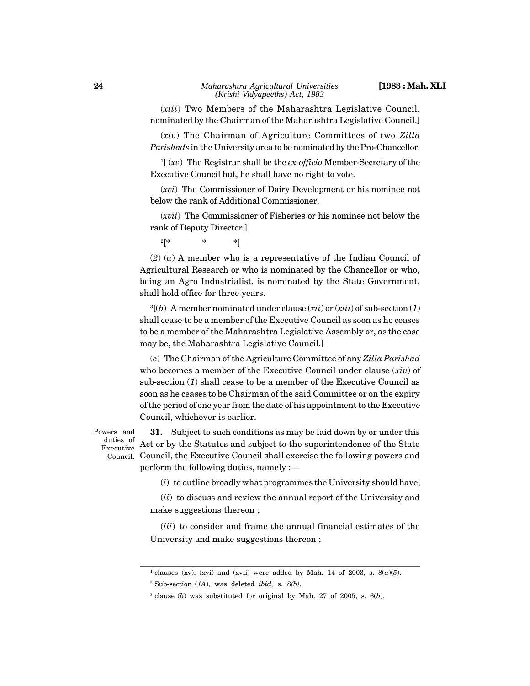(*xiii*) Two Members of the Maharashtra Legislative Council, nominated by the Chairman of the Maharashtra Legislative Council.]

(*xiv*) The Chairman of Agriculture Committees of two *Zilla Parishads* in the University area to be nominated by the Pro-Chancellor.

<sup>1</sup>[ (*xv*) The Registrar shall be the *ex-officio* Member-Secretary of the Executive Council but, he shall have no right to vote.

(*xvi*) The Commissioner of Dairy Development or his nominee not below the rank of Additional Commissioner.

(*xvii*) The Commissioner of Fisheries or his nominee not below the rank of Deputy Director.]

 $2[* \qquad \qquad * \qquad \qquad *]$ 

(*2*) (*a*) A member who is a representative of the Indian Council of Agricultural Research or who is nominated by the Chancellor or who, being an Agro Industrialist, is nominated by the State Government, shall hold office for three years.

<sup>3</sup>[(*b*) A member nominated under clause (*xii*) or (*xiii*) of sub-section (*1*) shall cease to be a member of the Executive Council as soon as he ceases to be a member of the Maharashtra Legislative Assembly or, as the case may be, the Maharashtra Legislative Council.]

(*c*) The Chairman of the Agriculture Committee of any *Zilla Parishad* who becomes a member of the Executive Council under clause (*xiv*) of sub-section (*1*) shall cease to be a member of the Executive Council as soon as he ceases to be Chairman of the said Committee or on the expiry of the period of one year from the date of his appointment to the Executive Council, whichever is earlier.

**31.** Subject to such conditions as may be laid down by or under this Act or by the Statutes and subject to the superintendence of the State Council, the Executive Council shall exercise the following powers and Council.perform the following duties, namely :— Powers and duties of Executive

(*i*) to outline broadly what programmes the University should have;

(*ii*) to discuss and review the annual report of the University and make suggestions thereon ;

(*iii*) to consider and frame the annual financial estimates of the University and make suggestions thereon ;

<sup>&</sup>lt;sup>1</sup> clauses (xv), (xvi) and (xvii) were added by Mah. 14 of 2003, s.  $8(a)(5)$ .

<sup>2</sup> Sub-section (*1A*), was deleted *ibid,* s. 8*(b)*.

<sup>3</sup> clause (*b*) was substituted for original by Mah. 27 of 2005, s. 6(*b*).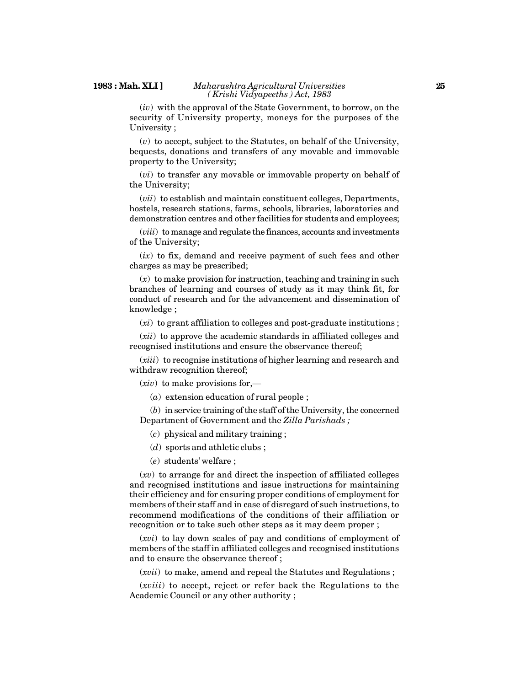#### **1983 : Mah. XLI ]** *Maharashtra Agricultural Universities ( Krishi Vidyapeeths ) Act, 1983*

(*iv*) with the approval of the State Government, to borrow, on the security of University property, moneys for the purposes of the University ;

(*v*) to accept, subject to the Statutes, on behalf of the University, bequests, donations and transfers of any movable and immovable property to the University;

(*vi*) to transfer any movable or immovable property on behalf of the University;

(*vii*) to establish and maintain constituent colleges, Departments, hostels, research stations, farms, schools, libraries, laboratories and demonstration centres and other facilities for students and employees;

(*viii*) to manage and regulate the finances, accounts and investments of the University;

(*ix*) to fix, demand and receive payment of such fees and other charges as may be prescribed;

(*x*) to make provision for instruction, teaching and training in such branches of learning and courses of study as it may think fit, for conduct of research and for the advancement and dissemination of knowledge ;

(*xi*) to grant affiliation to colleges and post-graduate institutions ;

(*xii*) to approve the academic standards in affiliated colleges and recognised institutions and ensure the observance thereof;

(*xiii*) to recognise institutions of higher learning and research and withdraw recognition thereof;

(*xiv*) to make provisions for,—

(*a*) extension education of rural people ;

(*b*) in service training of the staff of the University, the concerned Department of Government and the *Zilla Parishads ;*

(*c*) physical and military training ;

- (*d*) sports and athletic clubs ;
- (*e*) students' welfare ;

(*xv*) to arrange for and direct the inspection of affiliated colleges and recognised institutions and issue instructions for maintaining their efficiency and for ensuring proper conditions of employment for members of their staff and in case of disregard of such instructions, to recommend modifications of the conditions of their affiliation or recognition or to take such other steps as it may deem proper ;

(*xvi*) to lay down scales of pay and conditions of employment of members of the staff in affiliated colleges and recognised institutions and to ensure the observance thereof ;

(*xvii*) to make, amend and repeal the Statutes and Regulations ;

(*xviii*) to accept, reject or refer back the Regulations to the Academic Council or any other authority ;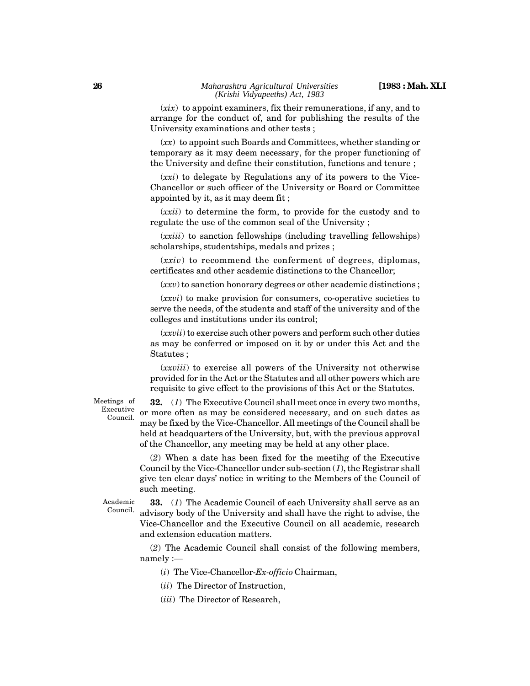(*xix*) to appoint examiners, fix their remunerations, if any, and to arrange for the conduct of, and for publishing the results of the University examinations and other tests ;

(*xx*) to appoint such Boards and Committees, whether standing or temporary as it may deem necessary, for the proper functioning of the University and define their constitution, functions and tenure ;

(*xxi*) to delegate by Regulations any of its powers to the Vice-Chancellor or such officer of the University or Board or Committee appointed by it, as it may deem fit ;

(*xxii*) to determine the form, to provide for the custody and to regulate the use of the common seal of the University ;

(*xxiii*) to sanction fellowships (including travelling fellowships) scholarships, studentships, medals and prizes ;

(*xxiv*) to recommend the conferment of degrees, diplomas, certificates and other academic distinctions to the Chancellor;

(*xxv*) to sanction honorary degrees or other academic distinctions ;

(*xxvi*) to make provision for consumers, co-operative societies to serve the needs, of the students and staff of the university and of the colleges and institutions under its control;

(*xxvii*) to exercise such other powers and perform such other duties as may be conferred or imposed on it by or under this Act and the Statutes ;

(*xxviii*) to exercise all powers of the University not otherwise provided for in the Act or the Statutes and all other powers which are requisite to give effect to the provisions of this Act or the Statutes.

Meetings of Executive

Council.

**32.** (*1*) The Executive Council shall meet once in every two months, or more often as may be considered necessary, and on such dates as may be fixed by the Vice-Chancellor. All meetings of the Council shall be held at headquarters of the University, but, with the previous approval of the Chancellor, any meeting may be held at any other place.

(*2*) When a date has been fixed for the meetihg of the Executive Council by the Vice-Chancellor under sub-section (*1*), the Registrar shall give ten clear days' notice in writing to the Members of the Council of such meeting.

Academic Council.

**33.** (*1*) The Academic Council of each University shall serve as an advisory body of the University and shall have the right to advise, the Vice-Chancellor and the Executive Council on all academic, research and extension education matters.

(*2*) The Academic Council shall consist of the following members, namely :—

(*i*) The Vice-Chancellor-*Ex-officio* Chairman,

(*ii*) The Director of Instruction,

(*iii*) The Director of Research,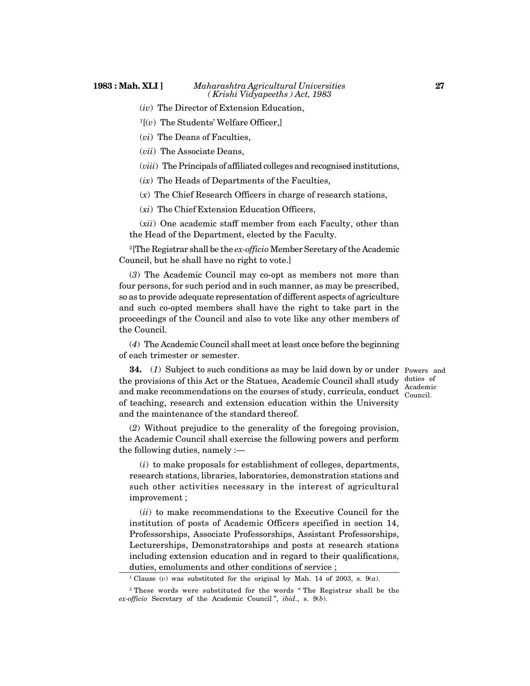- (*iv*) The Director of Extension Education,
- $1[(v)$  The Students' Welfare Officer,
- (*vi*) The Deans of Faculties,

(*vii*) The Associate Deans,

(*viii*) The Principals of affiliated colleges and recognised institutions,

(*ix*) The Heads of Departments of the Faculties,

(*x*) The Chief Research Officers in charge of research stations,

(*xi*) The Chief Extension Education Officers,

(*xii*) One academic staff member from each Faculty, other than the Head of the Department, elected by the Faculty.

<sup>2</sup>[The Registrar shall be the *ex-officio* Member Seretary of the Academic Council, but he shall have no right to vote.]

(*3*) The Academic Council may co-opt as members not more than four persons, for such period and in such manner, as may be prescribed, so as to provide adequate representation of different aspects of agriculture and such co-opted members shall have the right to take part in the proceedings of the Council and also to vote like any other members of the Council.

(*4*) The Academic Council shall meet at least once before the beginning of each trimester or semester.

**34.** (*1*) Subject to such conditions as may be laid down by or under Powers and the provisions of this Act or the Statues, Academic Council shall study duties of and make recommendations on the courses of study, curricula, conduct of teaching, research and extension education within the University and the maintenance of the standard thereof.

(*2*) Without prejudice to the generality of the foregoing provision, the Academic Council shall exercise the following powers and perform the following duties, namely :—

(*i*) to make proposals for establishment of colleges, departments, research stations, libraries, laboratories, demonstration stations and such other activities necessary in the interest of agricultural improvement ;

(*ii*) to make recommendations to the Executive Council for the institution of posts of Academic Officers specified in section 14, Professorships, Associate Professorships, Assistant Professorships, Lecturerships, Demonstratorships and posts at research stations including extension education and in regard to their qualifications, duties, emoluments and other conditions of service ;

Academic Council.

<sup>&</sup>lt;sup>1</sup> Clause (*v*) was substituted for the original by Mah. 14 of 2003, s.  $9(a)$ .

<sup>2</sup> These words were substituted for the words " The Registrar shall be the *ex-officio* Secretary of the Academic Council ", *ibid*., s. 9(*b*).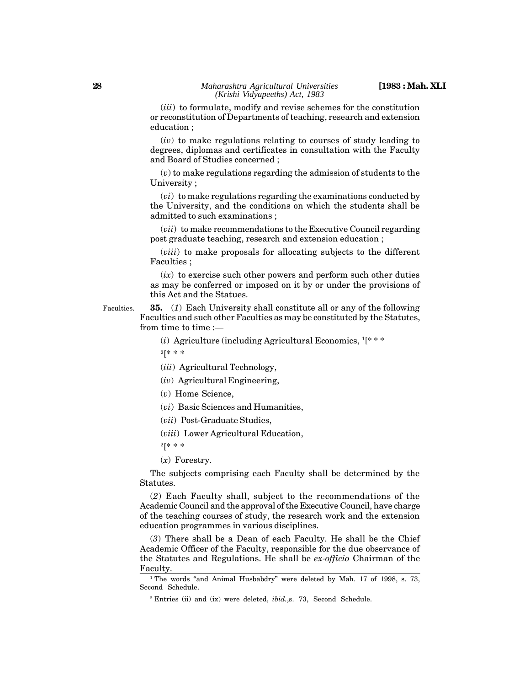(*iii*) to formulate, modify and revise schemes for the constitution or reconstitution of Departments of teaching, research and extension education ;

(*iv*) to make regulations relating to courses of study leading to degrees, diplomas and certificates in consultation with the Faculty and Board of Studies concerned ;

(*v*) to make regulations regarding the admission of students to the University ;

(*vi*) to make regulations regarding the examinations conducted by the University, and the conditions on which the students shall be admitted to such examinations ;

(*vii*) to make recommendations to the Executive Council regarding post graduate teaching, research and extension education ;

(*viii*) to make proposals for allocating subjects to the different Faculties ;

 $(ix)$  to exercise such other powers and perform such other duties as may be conferred or imposed on it by or under the provisions of this Act and the Statues.

**35.** (*1*) Each University shall constitute all or any of the following Faculties and such other Faculties as may be constituted by the Statutes, from time to time :— Faculties.

(*i*) Agriculture (including Agricultural Economics, <sup>1</sup>[\* \* \*

 $2$ [\* \* \*

(*iii*) Agricultural Technology,

(*iv*) Agricultural Engineering,

(*v*) Home Science,

(*vi*) Basic Sciences and Humanities,

(*vii*) Post-Graduate Studies,

(*viii*) Lower Agricultural Education,

<sup>2</sup>[\* \* \*

(*x*) Forestry.

The subjects comprising each Faculty shall be determined by the Statutes.

(*2*) Each Faculty shall, subject to the recommendations of the Academic Council and the approval of the Executive Council, have charge of the teaching courses of study, the research work and the extension education programmes in various disciplines.

(*3*) There shall be a Dean of each Faculty. He shall be the Chief Academic Officer of the Faculty, responsible for the due observance of the Statutes and Regulations. He shall be *ex-officio* Chairman of the Faculty.

<sup>&</sup>lt;sup>1</sup> The words "and Animal Husbabdry" were deleted by Mah. 17 of 1998, s. 73, Second Schedule.

<sup>2</sup> Entries (ii) and (ix) were deleted, *ibid.*,s. 73, Second Schedule.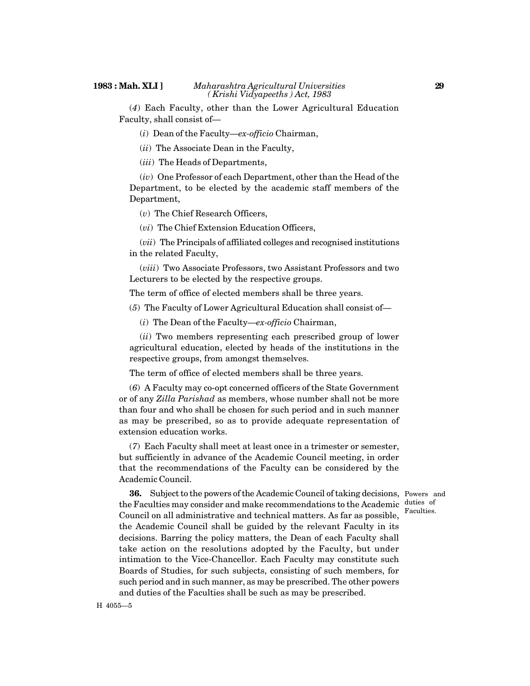(*4*) Each Faculty, other than the Lower Agricultural Education Faculty, shall consist of—

(*i*) Dean of the Faculty—*ex-officio* Chairman,

(*ii*) The Associate Dean in the Faculty,

(*iii*) The Heads of Departments,

(*iv*) One Professor of each Department, other than the Head of the Department, to be elected by the academic staff members of the Department,

(*v*) The Chief Research Officers,

(*vi*) The Chief Extension Education Officers,

(*vii*) The Principals of affiliated colleges and recognised institutions in the related Faculty,

(*viii*) Two Associate Professors, two Assistant Professors and two Lecturers to be elected by the respective groups.

The term of office of elected members shall be three years.

(*5*) The Faculty of Lower Agricultural Education shall consist of—

(*i*) The Dean of the Faculty—*ex-officio* Chairman,

(*ii*) Two members representing each prescribed group of lower agricultural education, elected by heads of the institutions in the respective groups, from amongst themselves.

The term of office of elected members shall be three years.

(*6*) A Faculty may co-opt concerned officers of the State Government or of any *Zilla Parishad* as members, whose number shall not be more than four and who shall be chosen for such period and in such manner as may be prescribed, so as to provide adequate representation of extension education works.

(*7*) Each Faculty shall meet at least once in a trimester or semester, but sufficiently in advance of the Academic Council meeting, in order that the recommendations of the Faculty can be considered by the Academic Council.

Faculties.

**36.** Subject to the powers of the Academic Council of taking decisions, Powers and the Faculties may consider and make recommendations to the Academic duties of Council on all administrative and technical matters. As far as possible, the Academic Council shall be guided by the relevant Faculty in its decisions. Barring the policy matters, the Dean of each Faculty shall take action on the resolutions adopted by the Faculty, but under intimation to the Vice-Chancellor. Each Faculty may constitute such Boards of Studies, for such subjects, consisting of such members, for such period and in such manner, as may be prescribed. The other powers and duties of the Faculties shall be such as may be prescribed.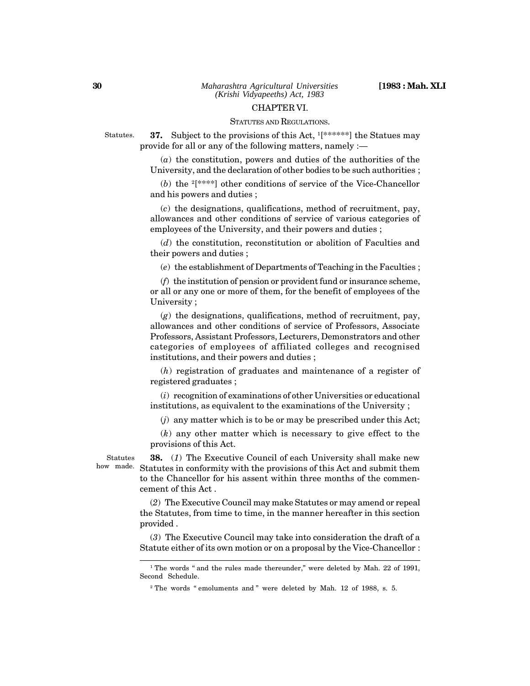#### CHAPTER VI.

#### STATUTES AND REGULATIONS.

Statutes.

**37.** Subject to the provisions of this Act,  $1$ [\*\*\*\*\*\*] the Statues may provide for all or any of the following matters, namely :—

(*a*) the constitution, powers and duties of the authorities of the University, and the declaration of other bodies to be such authorities ;

(*b*) the <sup>2</sup>[\*\*\*\*] other conditions of service of the Vice-Chancellor and his powers and duties ;

(*c*) the designations, qualifications, method of recruitment, pay, allowances and other conditions of service of various categories of employees of the University, and their powers and duties ;

(*d*) the constitution, reconstitution or abolition of Faculties and their powers and duties ;

(*e*) the establishment of Departments of Teaching in the Faculties ;

(*f*) the institution of pension or provident fund or insurance scheme, or all or any one or more of them, for the benefit of employees of the University ;

(*g*) the designations, qualifications, method of recruitment, pay, allowances and other conditions of service of Professors, Associate Professors, Assistant Professors, Lecturers, Demonstrators and other categories of employees of affiliated colleges and recognised institutions, and their powers and duties ;

(*h*) registration of graduates and maintenance of a register of registered graduates ;

(*i*) recognition of examinations of other Universities or educational institutions, as equivalent to the examinations of the University ;

(*j*) any matter which is to be or may be prescribed under this Act;

(*k*) any other matter which is necessary to give effect to the provisions of this Act.

Statutes

**38.** (*1*) The Executive Council of each University shall make new how made. Statutes in conformity with the provisions of this Act and submit them to the Chancellor for his assent within three months of the commencement of this Act .

> (*2*) The Executive Council may make Statutes or may amend or repeal the Statutes, from time to time, in the manner hereafter in this section provided .

> (*3*) The Executive Council may take into consideration the draft of a Statute either of its own motion or on a proposal by the Vice-Chancellor :

<sup>&</sup>lt;sup>1</sup> The words " and the rules made thereunder," were deleted by Mah. 22 of 1991, Second Schedule.

<sup>&</sup>lt;sup>2</sup> The words "emoluments and " were deleted by Mah. 12 of 1988, s. 5.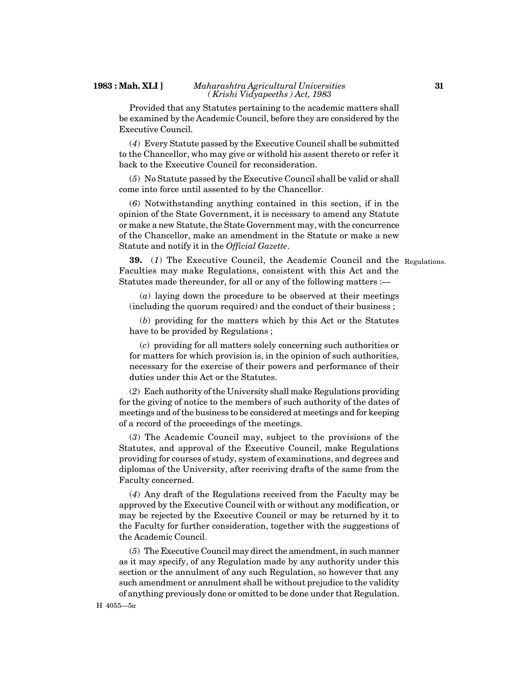#### **1983 : Mah. XLI ]** *Maharashtra Agricultural Universities ( Krishi Vidyapeeths ) Act, 1983*

Provided that any Statutes pertaining to the academic matters shall be examined by the Academic Council, before they are considered by the Executive Council.

(*4*) Every Statute passed by the Executive Council shall be submitted to the Chancellor, who may give or withold his assent thereto or refer it back to the Executive Council for reconsideration.

(*5*) No Statute passed by the Executive Council shall be valid or shall come into force until assented to by the Chancellor.

(*6*) Notwithstanding anything contained in this section, if in the opinion of the State Government, it is necessary to amend any Statute or make a new Statute, the State Government may, with the concurrence of the Chancellor, make an amendment in the Statute or make a new Statute and notify it in the *Official Gazette*.

**39.** (*1*) The Executive Council, the Academic Council and the Regulations. Faculties may make Regulations, consistent with this Act and the Statutes made thereunder, for all or any of the following matters :—

(*a*) laying down the procedure to be observed at their meetings (including the quorum required) and the conduct of their business ;

(*b*) providing for the matters which by this Act or the Statutes have to be provided by Regulations ;

(*c*) providing for all matters solely concerning such authorities or for matters for which provision is, in the opinion of such authorities, necessary for the exercise of their powers and performance of their duties under this Act or the Statutes.

(*2*) Each authority of the University shall make Regulations providing for the giving of notice to the members of such authority of the dates of meetings and of the business to be considered at meetings and for keeping of a record of the proceedings of the meetings.

(*3*) The Academic Council may, subject to the provisions of the Statutes, and approval of the Executive Council, make Regulations providing for courses of study, system of examinations, and degrees and diplomas of the University, after receiving drafts of the same from the Faculty concerned.

(*4*) Any draft of the Regulations received from the Faculty may be approved by the Executive Council with or without any modification, or may be rejected by the Executive Council or may be returned by it to the Faculty for further consideration, together with the suggestions of the Academic Council.

(*5*) The Executive Council may direct the amendment, in such manner as it may specify, of any Regulation made by any authority under this section or the annulment of any such Regulation, so however that any such amendment or annulment shall be without prejudice to the validity of anything previously done or omitted to be done under that Regulation.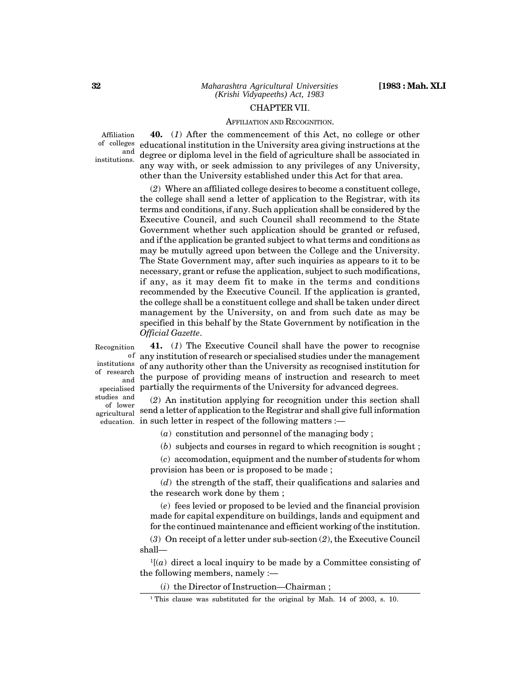#### CHAPTER VII.

#### AFFILIATION AND RECOGNITION.

Affiliation of colleges institutions.

**40.** (*1*) After the commencement of this Act, no college or other educational institution in the University area giving instructions at the  $\frac{\text{and}}{\text{and}}$  degree or diploma level in the field of agriculture shall be associated in any way with, or seek admission to any privileges of any University, other than the University established under this Act for that area.

(*2*) Where an affiliated college desires to become a constituent college, the college shall send a letter of application to the Registrar, with its terms and conditions, if any. Such application shall be considered by the Executive Council, and such Council shall recommend to the State Government whether such application should be granted or refused, and if the application be granted subject to what terms and conditions as may be mutully agreed upon between the College and the University. The State Government may, after such inquiries as appears to it to be necessary, grant or refuse the application, subject to such modifications, if any, as it may deem fit to make in the terms and conditions recommended by the Executive Council. If the application is granted, the college shall be a constituent college and shall be taken under direct management by the University, on and from such date as may be specified in this behalf by the State Government by notification in the *Official Gazette*.

institutions of research specialised

studies and of lower agricultural

**41.** (*1*) The Executive Council shall have the power to recognise  $\rm ^{of}$  any institution of research or specialised studies under the management of any authority other than the University as recognised institution for <sub>and</sub> the purpose of providing means of instruction and research to meet partially the requirments of the University for advanced degrees.

(*2*) An institution applying for recognition under this section shall send a letter of application to the Registrar and shall give full information  $\epsilon$ ducation. in such letter in respect of the following matters :—

(*a*) constitution and personnel of the managing body ;

(*b*) subjects and courses in regard to which recognition is sought ;

(*c*) accomodation, equipment and the number of students for whom provision has been or is proposed to be made ;

(*d*) the strength of the staff, their qualifications and salaries and the research work done by them ;

(*e*) fees levied or proposed to be levied and the financial provision made for capital expenditure on buildings, lands and equipment and for the continued maintenance and efficient working of the institution.

(*3*) On receipt of a letter under sub-section (*2*), the Executive Council shall—

 $1[(a)$  direct a local inquiry to be made by a Committee consisting of the following members, namely :—

(*i*) the Director of Instruction—Chairman ;

Recognition

**32**

<sup>&</sup>lt;sup>1</sup> This clause was substituted for the original by Mah. 14 of 2003, s. 10.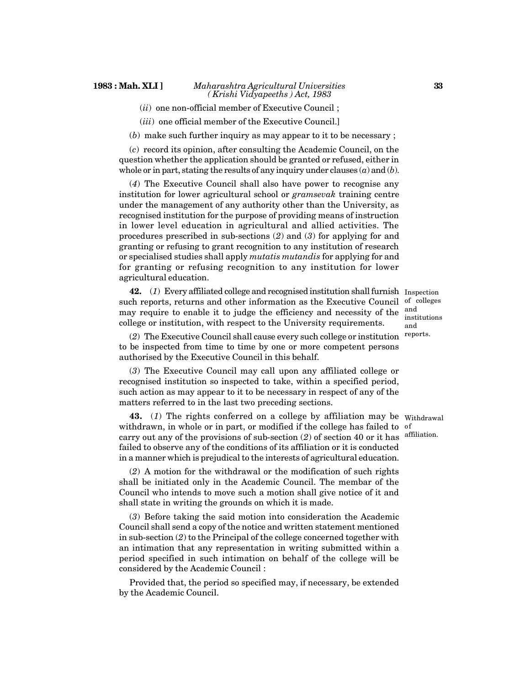(*ii*) one non-official member of Executive Council ;

(*iii*) one official member of the Executive Council.]

(*b*) make such further inquiry as may appear to it to be necessary ;

(*c*) record its opinion, after consulting the Academic Council, on the question whether the application should be granted or refused, either in whole or in part, stating the results of any inquiry under clauses (*a*) and (*b*).

(*4*) The Executive Council shall also have power to recognise any institution for lower agricultural school or *gramsevak* training centre under the management of any authority other than the University, as recognised institution for the purpose of providing means of instruction in lower level education in agricultural and allied activities. The procedures prescribed in sub-sections (*2*) and (*3*) for applying for and granting or refusing to grant recognition to any institution of research or specialised studies shall apply *mutatis mutandis* for applying for and for granting or refusing recognition to any institution for lower agricultural education.

**42.** (*1*) Every affiliated college and recognised institution shall furnish Inspection such reports, returns and other information as the Executive Council of colleges may require to enable it to judge the efficiency and necessity of the college or institution, with respect to the University requirements.

and institutions and reports.

(*2*) The Executive Council shall cause every such college or institution to be inspected from time to time by one or more competent persons authorised by the Executive Council in this behalf.

(*3*) The Executive Council may call upon any affiliated college or recognised institution so inspected to take, within a specified period, such action as may appear to it to be necessary in respect of any of the matters referred to in the last two preceding sections.

**43.** (*1*) The rights conferred on a college by affiliation may be Withdrawal withdrawn, in whole or in part, or modified if the college has failed to of carry out any of the provisions of sub-section (*2*) of section 40 or it has affiliation.failed to observe any of the conditions of its affiliation or it is conducted in a manner which is prejudical to the interests of agricultural education.

(*2*) A motion for the withdrawal or the modification of such rights shall be initiated only in the Academic Council. The membar of the Council who intends to move such a motion shall give notice of it and shall state in writing the grounds on which it is made.

(*3*) Before taking the said motion into consideration the Academic Council shall send a copy of the notice and written statement mentioned in sub-section (*2*) to the Principal of the college concerned together with an intimation that any representation in writing submitted within a period specified in such intimation on behalf of the college will be considered by the Academic Council :

Provided that, the period so specified may, if necessary, be extended by the Academic Council.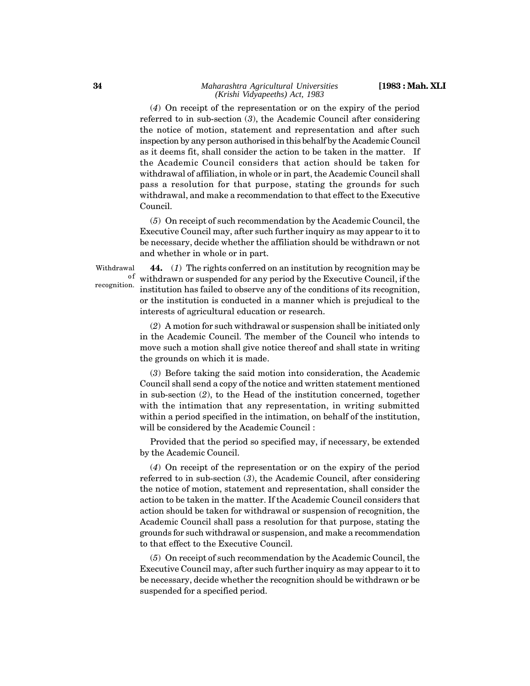(*4*) On receipt of the representation or on the expiry of the period referred to in sub-section (*3*), the Academic Council after considering the notice of motion, statement and representation and after such inspection by any person authorised in this behalf by the Academic Council as it deems fit, shall consider the action to be taken in the matter. If the Academic Council considers that action should be taken for withdrawal of affiliation, in whole or in part, the Academic Council shall pass a resolution for that purpose, stating the grounds for such withdrawal, and make a recommendation to that effect to the Executive Council.

(*5*) On receipt of such recommendation by the Academic Council, the Executive Council may, after such further inquiry as may appear to it to be necessary, decide whether the affiliation should be withdrawn or not and whether in whole or in part.

Withdrawal recognition.

**44.** (*1*) The rights conferred on an institution by recognition may be <sup>of</sup> withdrawn or suspended for any period by the Executive Council, if the institution has failed to observe any of the conditions of its recognition, or the institution is conducted in a manner which is prejudical to the interests of agricultural education or research.

(*2*) A motion for such withdrawal or suspension shall be initiated only in the Academic Council. The member of the Council who intends to move such a motion shall give notice thereof and shall state in writing the grounds on which it is made.

(*3*) Before taking the said motion into consideration, the Academic Council shall send a copy of the notice and written statement mentioned in sub-section (*2*), to the Head of the institution concerned, together with the intimation that any representation, in writing submitted within a period specified in the intimation, on behalf of the institution, will be considered by the Academic Council :

Provided that the period so specified may, if necessary, be extended by the Academic Council.

(*4*) On receipt of the representation or on the expiry of the period referred to in sub-section (*3*), the Academic Council, after considering the notice of motion, statement and representation, shall consider the action to be taken in the matter. If the Academic Council considers that action should be taken for withdrawal or suspension of recognition, the Academic Council shall pass a resolution for that purpose, stating the grounds for such withdrawal or suspension, and make a recommendation to that effect to the Executive Council.

(*5*) On receipt of such recommendation by the Academic Council, the Executive Council may, after such further inquiry as may appear to it to be necessary, decide whether the recognition should be withdrawn or be suspended for a specified period.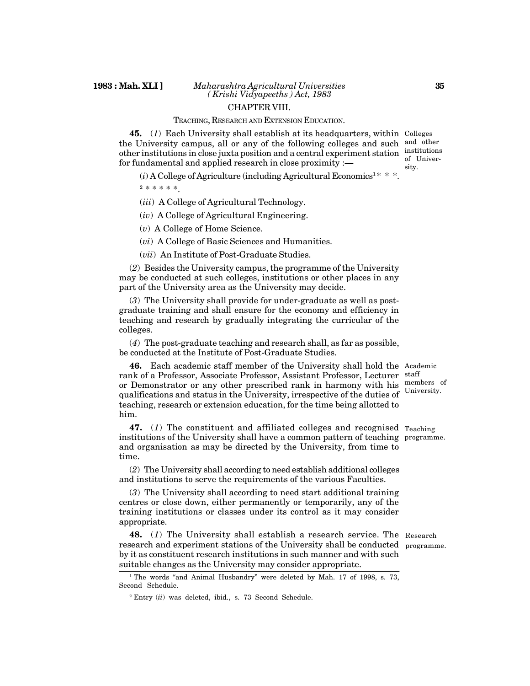#### TEACHING, RESEARCH AND EXTENSION EDUCATION.

**45.** (*1*) Each University shall establish at its headquarters, within Colleges the University campus, all or any of the following colleges and such and other other institutions in close juxta position and a central experiment station institutions for fundamental and applied research in close proximity :—

 $(i)$  A College of Agriculture (including Agricultural Economics<sup>1 \*</sup> \* \*.

<sup>2</sup> \* \* \* \* \*.

(*iii*) A College of Agricultural Technology.

(*iv*) A College of Agricultural Engineering.

(*v*) A College of Home Science.

(*vi*) A College of Basic Sciences and Humanities.

(*vii*) An Institute of Post-Graduate Studies.

(*2*) Besides the University campus, the programme of the University may be conducted at such colleges, institutions or other places in any part of the University area as the University may decide.

(*3*) The University shall provide for under-graduate as well as postgraduate training and shall ensure for the economy and efficiency in teaching and research by gradually integrating the curricular of the colleges.

(*4*) The post-graduate teaching and research shall, as far as possible, be conducted at the Institute of Post-Graduate Studies.

**46.** Each academic staff member of the University shall hold the Academic rank of a Professor, Associate Professor, Assistant Professor, Lecturer staff or Demonstrator or any other prescribed rank in harmony with his members of qualifications and status in the University, irrespective of the duties of University. teaching, research or extension education, for the time being allotted to him.

47. (1) The constituent and affiliated colleges and recognised <sub>Teaching</sub> institutions of the University shall have a common pattern of teaching programme. and organisation as may be directed by the University, from time to time.

(*2*) The University shall according to need establish additional colleges and institutions to serve the requirements of the various Faculties.

(*3*) The University shall according to need start additional training centres or close down, either permanently or temporarily, any of the training institutions or classes under its control as it may consider appropriate.

**48.** (*1*) The University shall establish a research service. The Research research and experiment stations of the University shall be conducted programme. by it as constituent research institutions in such manner and with such suitable changes as the University may consider appropriate.

<sup>1</sup> The words "and Animal Husbandry" were deleted by Mah. 17 of 1998, s. 73, Second Schedule.

<sup>2</sup> Entry (*ii*) was deleted, ibid., s. 73 Second Schedule.

of University.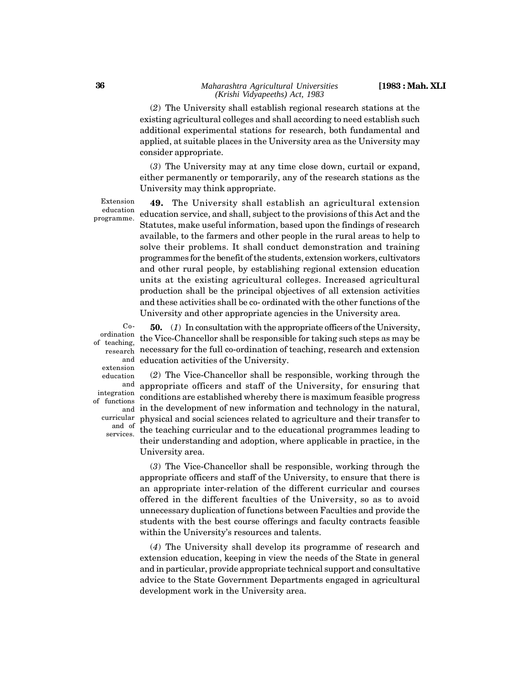(*2*) The University shall establish regional research stations at the existing agricultural colleges and shall according to need establish such additional experimental stations for research, both fundamental and applied, at suitable places in the University area as the University may consider appropriate.

(*3*) The University may at any time close down, curtail or expand, either permanently or temporarily, any of the research stations as the University may think appropriate.

Extension education programme.

**49.** The University shall establish an agricultural extension education service, and shall, subject to the provisions of this Act and the Statutes, make useful information, based upon the findings of research available, to the farmers and other people in the rural areas to help to solve their problems. It shall conduct demonstration and training programmes for the benefit of the students, extension workers, cultivators and other rural people, by establishing regional extension education units at the existing agricultural colleges. Increased agricultural production shall be the principal objectives of all extension activities and these activities shall be co- ordinated with the other functions of the University and other appropriate agencies in the University area.

Coordination of teaching, research extension education integration of functions curricular and of services.

**50.** (*1*) In consultation with the appropriate officers of the University, the Vice-Chancellor shall be responsible for taking such steps as may be necessary for the full co-ordination of teaching, research and extension and education activities of the University.

(*2*) The Vice-Chancellor shall be responsible, working through the and appropriate officers and staff of the University, for ensuring that conditions are established whereby there is maximum feasible progress and in the development of new information and technology in the natural, physical and social sciences related to agriculture and their transfer to the teaching curricular and to the educational programmes leading to their understanding and adoption, where applicable in practice, in the University area.

(*3*) The Vice-Chancellor shall be responsible, working through the appropriate officers and staff of the University, to ensure that there is an appropriate inter-relation of the different curricular and courses offered in the different faculties of the University, so as to avoid unnecessary duplication of functions between Faculties and provide the students with the best course offerings and faculty contracts feasible within the University's resources and talents.

(*4*) The University shall develop its programme of research and extension education, keeping in view the needs of the State in general and in particular, provide appropriate technical support and consultative advice to the State Government Departments engaged in agricultural development work in the University area.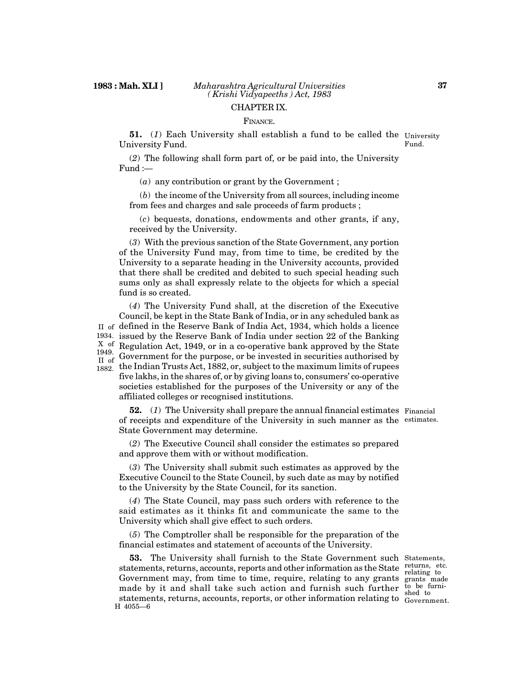#### FINANCE.

**51.** (*1*) Each University shall establish a fund to be called the University University Fund. Fund.

(*2*) The following shall form part of, or be paid into, the University Fund :—

(*a*) any contribution or grant by the Government ;

(*b*) the income of the University from all sources, including income from fees and charges and sale proceeds of farm products ;

(*c*) bequests, donations, endowments and other grants, if any, received by the University.

(*3*) With the previous sanction of the State Government, any portion of the University Fund may, from time to time, be credited by the University to a separate heading in the University accounts, provided that there shall be credited and debited to such special heading such sums only as shall expressly relate to the objects for which a special fund is so created.

(*4*) The University Fund shall, at the discretion of the Executive Council, be kept in the State Bank of India, or in any scheduled bank as  $_{\rm II}$   $_{\rm of}$  defined in the Reserve Bank of India Act, 1934, which holds a licence issued by the Reserve Bank of India under section 22 of the Banking 1934.  $X<sub>0.06</sub>$  Regulation Act, 1949, or in a co-operative bank approved by the State Government for the purpose, or be invested in securities authorised by 1949. II of

the Indian Trusts Act, 1882, or, subject to the maximum limits of rupees 1882. five lakhs, in the shares of, or by giving loans to, consumers' co-operative societies established for the purposes of the University or any of the affiliated colleges or recognised institutions.

**52.** (*1*) The University shall prepare the annual financial estimates Financial of receipts and expenditure of the University in such manner as the estimates. State Government may determine.

(*2*) The Executive Council shall consider the estimates so prepared and approve them with or without modification.

(*3*) The University shall submit such estimates as approved by the Executive Council to the State Council, by such date as may by notified to the University by the State Council, for its sanction.

(*4*) The State Council, may pass such orders with reference to the said estimates as it thinks fit and communicate the same to the University which shall give effect to such orders.

(*5*) The Comptroller shall be responsible for the preparation of the financial estimates and statement of accounts of the University.

**53.** The University shall furnish to the State Government such Statements, statements, returns, accounts, reports and other information as the State  $\frac{r_{\text{eturns, etc.}}}{r_{\text{elating to }}}$ Government may, from time to time, require, relating to any grants grants made made by it and shall take such action and furnish such further to be furnistatements, returns, accounts, reports, or other information relating to  $\frac{d}{d}$  Government. H 4055—6

**37**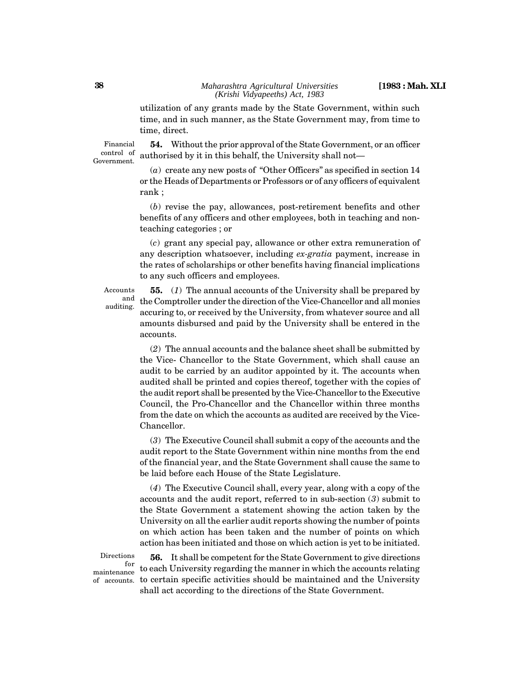utilization of any grants made by the State Government, within such time, and in such manner, as the State Government may, from time to time, direct.

Financial control of Government.

**54.** Without the prior approval of the State Government, or an officer authorised by it in this behalf, the University shall not—

(*a*) create any new posts of "Other Officers" as specified in section 14 or the Heads of Departments or Professors or of any officers of equivalent rank ;

(*b*) revise the pay, allowances, post-retirement benefits and other benefits of any officers and other employees, both in teaching and nonteaching categories ; or

(*c*) grant any special pay, allowance or other extra remuneration of any description whatsoever, including *ex-gratia* payment, increase in the rates of scholarships or other benefits having financial implications to any such officers and employees.

Accounts auditing.

**55.** (*1*) The annual accounts of the University shall be prepared by  $\frac{\text{and}}{\text{and}}$  the Comptroller under the direction of the Vice-Chancellor and all monies accuring to, or received by the University, from whatever source and all amounts disbursed and paid by the University shall be entered in the accounts.

(*2*) The annual accounts and the balance sheet shall be submitted by the Vice- Chancellor to the State Government, which shall cause an audit to be carried by an auditor appointed by it. The accounts when audited shall be printed and copies thereof, together with the copies of the audit report shall be presented by the Vice-Chancellor to the Executive Council, the Pro-Chancellor and the Chancellor within three months from the date on which the accounts as audited are received by the Vice-Chancellor.

(*3*) The Executive Council shall submit a copy of the accounts and the audit report to the State Government within nine months from the end of the financial year, and the State Government shall cause the same to be laid before each House of the State Legislature.

(*4*) The Executive Council shall, every year, along with a copy of the accounts and the audit report, referred to in sub-section (*3*) submit to the State Government a statement showing the action taken by the University on all the earlier audit reports showing the number of points on which action has been taken and the number of points on which action has been initiated and those on which action is yet to be initiated.

Directions maintenance of accounts.

**56.** It shall be competent for the State Government to give directions for<br>nce to each University regarding the manner in which the accounts relating to certain specific activities should be maintained and the University shall act according to the directions of the State Government.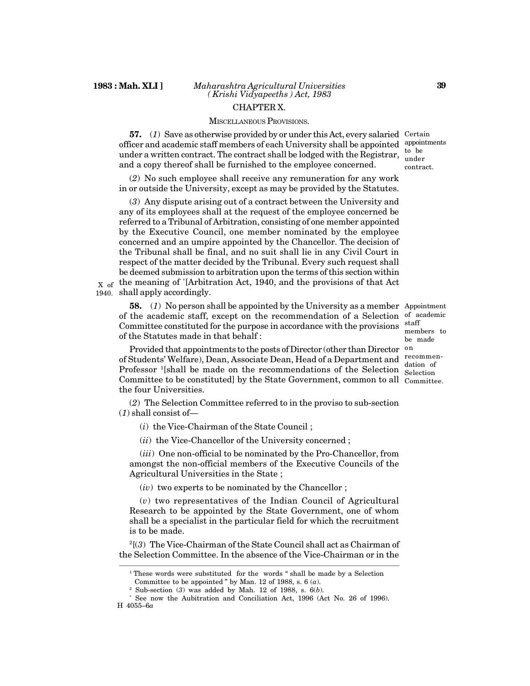#### MISCELLANEOUS PROVISIONS.

**57.** (*1*) Save as otherwise provided by or under this Act, every salaried Certain officer and academic staff members of each University shall be appointed appointments under a written contract. The contract shall be lodged with the Registrar,  $\frac{1}{2}$  to be and a copy thereof shall be furnished to the employee concerned.

(*2*) No such employee shall receive any remuneration for any work in or outside the University, except as may be provided by the Statutes.

(*3*) Any dispute arising out of a contract between the University and any of its employees shall at the request of the employee concerned be referred to a Tribunal of Arbitration, consisting of one member appointed by the Executive Council, one member nominated by the employee concerned and an umpire appointed by the Chancellor. The decision of the Tribunal shall be final, and no suit shall lie in any Civil Court in respect of the matter decided by the Tribunal. Every such request shall be deemed submission to arbitration upon the terms of this section within  $_{\text{X of}}$  the meaning of  $^{*}$ [Arbitration Act, 1940, and the provisions of that Act

1940. shall apply accordingly.

**58.** (*1*) No person shall be appointed by the University as a member Appointment of the academic staff, except on the recommendation of a Selection of academic Committee constituted for the purpose in accordance with the provisions of the Statutes made in that behalf :

Provided that appointments to the posts of Director (other than Director on of Students' Welfare), Dean, Associate Dean, Head of a Department and recommen-Professor <sup>1</sup>[shall be made on the recommendations of the Selection Selection Committee to be constituted] by the State Government, common to all Committee. the four Universities.

(*2*) The Selection Committee referred to in the proviso to sub-section (*1*) shall consist of—

(*i*) the Vice-Chairman of the State Council ;

(*ii*) the Vice-Chancellor of the University concerned ;

(*iii*) One non-official to be nominated by the Pro-Chancellor, from amongst the non-official members of the Executive Councils of the Agricultural Universities in the State ;

(*iv*) two experts to be nominated by the Chancellor ;

(*v*) two representatives of the Indian Council of Agricultural Research to be appointed by the State Government, one of whom shall be a specialist in the particular field for which the recruitment is to be made.

<sup>2</sup>[(*3*) The Vice-Chairman of the State Council shall act as Chairman of the Selection Committee. In the absence of the Vice-Chairman or in the

staff members to be made dation of

to be under contract.

<sup>&</sup>lt;sup>1</sup> These words were substituted for the words " shall be made by a Selection Committee to be appointed " by Man. 12 of 1988, s. 6 (*a*).

<sup>2</sup> Sub-section (*3*) was added by Mah. 12 of 1988, s. 6(*b*).

<sup>\*</sup> See now the Aubitration and Conciliation Act, 1996 (Act No. 26 of 1996). H 4055–6*a*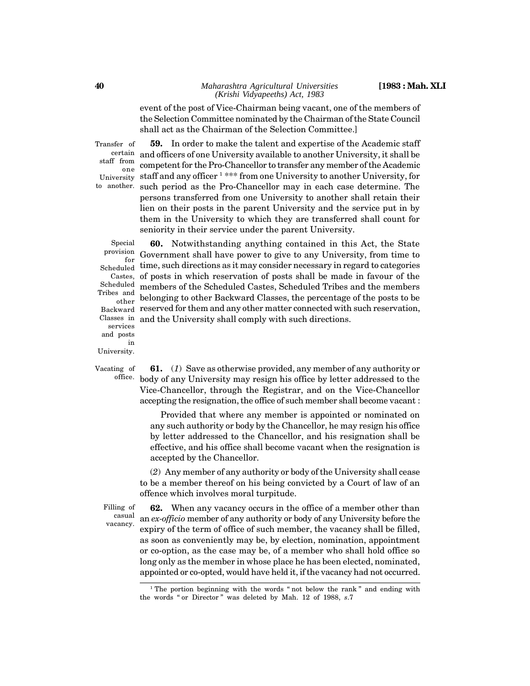#### *Maharashtra Agricultural Universities* **[1983 : Mah. XLI** *(Krishi Vidyapeeths) Act, 1983*

event of the post of Vice-Chairman being vacant, one of the members of the Selection Committee nominated by the Chairman of the State Council shall act as the Chairman of the Selection Committee.]

Transfer of staff from

one University to another.

**59.** In order to make the talent and expertise of the Academic staff certain and officers of one University available to another University, it shall be competent for the Pro-Chancellor to transfer any member of the Academic staff and any officer <sup>1</sup> \*\*\* from one University to another University, for such period as the Pro-Chancellor may in each case determine. The persons transferred from one University to another shall retain their lien on their posts in the parent University and the service put in by them in the University to which they are transferred shall count for seniority in their service under the parent University.

Special provision for Scheduled Castes, Scheduled Tribes and other Backward Classes in services and posts in University.

**60.** Notwithstanding anything contained in this Act, the State Government shall have power to give to any University, from time to time, such directions as it may consider necessary in regard to categories of posts in which reservation of posts shall be made in favour of the members of the Scheduled Castes, Scheduled Tribes and the members belonging to other Backward Classes, the percentage of the posts to be reserved for them and any other matter connected with such reservation, and the University shall comply with such directions.

Vacating of

**61.** (*1*) Save as otherwise provided, any member of any authority or <sup>office.</sup> body of any University may resign his office by letter addressed to the Vice-Chancellor, through the Registrar, and on the Vice-Chancellor accepting the resignation, the office of such member shall become vacant :

> Provided that where any member is appointed or nominated on any such authority or body by the Chancellor, he may resign his office by letter addressed to the Chancellor, and his resignation shall be effective, and his office shall become vacant when the resignation is accepted by the Chancellor.

(*2*) Any member of any authority or body of the University shall cease to be a member thereof on his being convicted by a Court of law of an offence which involves moral turpitude.

Filling of casual vacancy.

**62.** When any vacancy occurs in the office of a member other than an *ex-officio* member of any authority or body of any University before the expiry of the term of office of such member, the vacancy shall be filled, as soon as conveniently may be, by election, nomination, appointment or co-option, as the case may be, of a member who shall hold office so long only as the member in whose place he has been elected, nominated, appointed or co-opted, would have held it, if the vacancy had not occurred.

<sup>&</sup>lt;sup>1</sup> The portion beginning with the words " not below the rank " and ending with the words " or Director " was deleted by Mah. 12 of 1988, *s*.7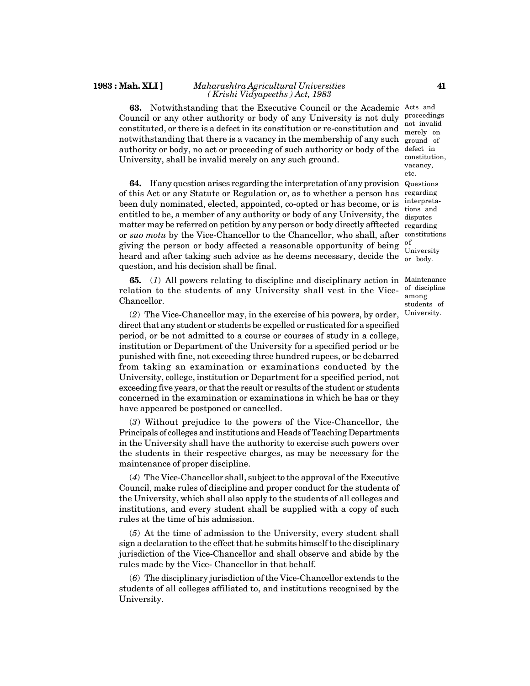#### **1983 : Mah. XLI ]** *Maharashtra Agricultural Universities ( Krishi Vidyapeeths ) Act, 1983*

**63.** Notwithstanding that the Executive Council or the Academic Acts and Council or any other authority or body of any University is not duly proceedings constituted, or there is a defect in its constitution or re-constitution and  $\frac{\text{not} \text{ invalid}}{\text{merely} \text{ on}}$ notwithstanding that there is a vacancy in the membership of any such ground of authority or body, no act or proceeding of such authority or body of the defect in University, shall be invalid merely on any such ground.

**64.** If any question arises regarding the interpretation of any provision Questions of this Act or any Statute or Regulation or, as to whether a person has regarding been duly nominated, elected, appointed, co-opted or has become, or is entitled to be, a member of any authority or body of any University, the matter may be referred on petition by any person or body directly afftected regarding or *suo motu* by the Vice-Chancellor to the Chancellor, who shall, after constitutions giving the person or body affected a reasonable opportunity of being heard and after taking such advice as he deems necessary, decide the  $\frac{\text{convexely}}{\text{or body}}$ question, and his decision shall be final.

**65.** (*1*) All powers relating to discipline and disciplinary action in Maintenance relation to the students of any University shall vest in the Vice-Chancellor.

(*2*) The Vice-Chancellor may, in the exercise of his powers, by order, direct that any student or students be expelled or rusticated for a specified period, or be not admitted to a course or courses of study in a college, institution or Department of the University for a specified period or be punished with fine, not exceeding three hundred rupees, or be debarred from taking an examination or examinations conducted by the University, college, institution or Department for a specified period, not exceeding five years, or that the result or results of the student or students concerned in the examination or examinations in which he has or they have appeared be postponed or cancelled.

(*3*) Without prejudice to the powers of the Vice-Chancellor, the Principals of colleges and institutions and Heads of Teaching Departments in the University shall have the authority to exercise such powers over the students in their respective charges, as may be necessary for the maintenance of proper discipline.

(*4*) The Vice-Chancellor shall, subject to the approval of the Executive Council, make rules of discipline and proper conduct for the students of the University, which shall also apply to the students of all colleges and institutions, and every student shall be supplied with a copy of such rules at the time of his admission.

(*5*) At the time of admission to the University, every student shall sign a declaration to the effect that he submits himself to the disciplinary jurisdiction of the Vice-Chancellor and shall observe and abide by the rules made by the Vice- Chancellor in that behalf.

(*6*) The disciplinary jurisdiction of the Vice-Chancellor extends to the students of all colleges affiliated to, and institutions recognised by the University.

merely on constitution, vacancy, etc.

interpretations and disputes of University

of discipline among students of University.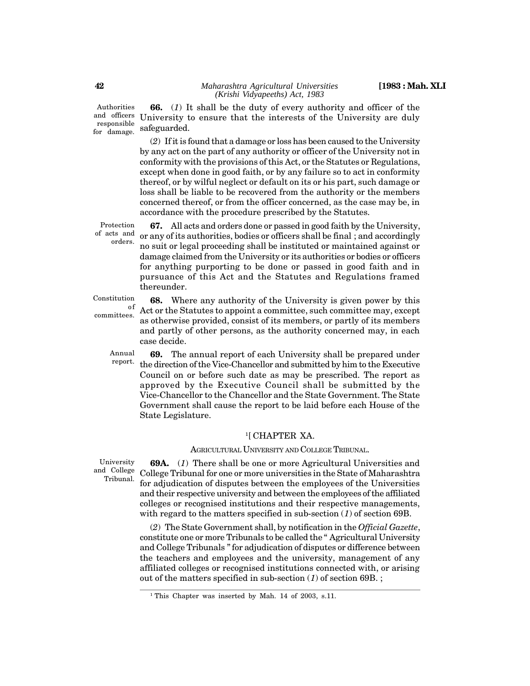Authorities and officers responsible for damage.

**66.** (*1*) It shall be the duty of every authority and officer of the University to ensure that the interests of the University are duly safeguarded.

(*2*) If it is found that a damage or loss has been caused to the University by any act on the part of any authority or officer of the University not in conformity with the provisions of this Act, or the Statutes or Regulations, except when done in good faith, or by any failure so to act in conformity thereof, or by wilful neglect or default on its or his part, such damage or loss shall be liable to be recovered from the authority or the members concerned thereof, or from the officer concerned, as the case may be, in accordance with the procedure prescribed by the Statutes.

Protection of acts and orders.

**67.** All acts and orders done or passed in good faith by the University, or any of its authorities, bodies or officers shall be final ; and accordingly no suit or legal proceeding shall be instituted or maintained against or damage claimed from the University or its authorities or bodies or officers for anything purporting to be done or passed in good faith and in pursuance of this Act and the Statutes and Regulations framed thereunder.

Constitution

committees.

**68.** Where any authority of the University is given power by this <sup>of</sup> Act or the Statutes to appoint a committee, such committee may, except as otherwise provided, consist of its members, or partly of its members and partly of other persons, as the authority concerned may, in each case decide.

Annual report.

**69.** The annual report of each University shall be prepared under the direction of the Vice-Chancellor and submitted by him to the Executive Council on or before such date as may be prescribed. The report as approved by the Executive Council shall be submitted by the Vice-Chancellor to the Chancellor and the State Government. The State Government shall cause the report to be laid before each House of the State Legislature.

#### <sup>1</sup>[ CHAPTER XA.

## AGRICULTURAL UNIVERSITY AND COLLEGE TRIBUNAL.

University and College Tribunal.

**69A.** (*1*) There shall be one or more Agricultural Universities and College Tribunal for one or more universities in the State of Maharashtra for adjudication of disputes between the employees of the Universities and their respective university and between the employees of the affiliated colleges or recognised institutions and their respective managements, with regard to the matters specified in sub-section (*1*) of section 69B.

(*2*) The State Government shall, by notification in the *Official Gazette*, constitute one or more Tribunals to be called the " Agricultural University and College Tribunals " for adjudication of disputes or difference between the teachers and employees and the university, management of any affiliated colleges or recognised institutions connected with, or arising out of the matters specified in sub-section (*1*) of section 69B. ;

<sup>&</sup>lt;sup>1</sup> This Chapter was inserted by Mah. 14 of 2003, s.11.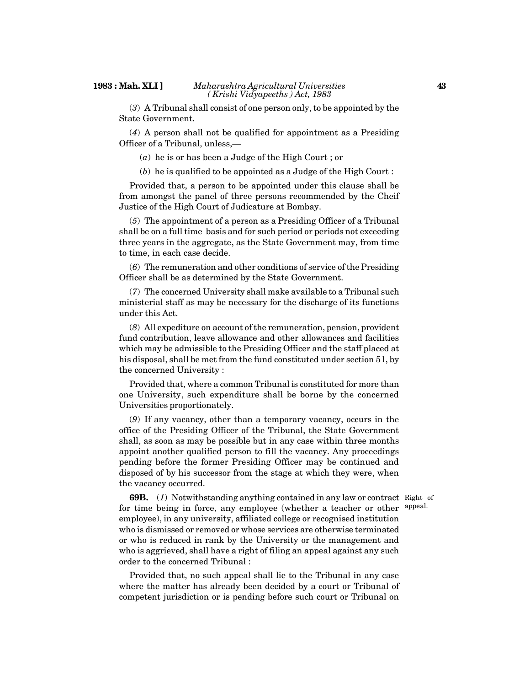(*3*) A Tribunal shall consist of one person only, to be appointed by the State Government.

(*4*) A person shall not be qualified for appointment as a Presiding Officer of a Tribunal, unless,—

(*a*) he is or has been a Judge of the High Court ; or

(*b*) he is qualified to be appointed as a Judge of the High Court :

Provided that, a person to be appointed under this clause shall be from amongst the panel of three persons recommended by the Cheif Justice of the High Court of Judicature at Bombay.

(*5*) The appointment of a person as a Presiding Officer of a Tribunal shall be on a full time basis and for such period or periods not exceeding three years in the aggregate, as the State Government may, from time to time, in each case decide.

(*6*) The remuneration and other conditions of service of the Presiding Officer shall be as determined by the State Government.

(*7*) The concerned University shall make available to a Tribunal such ministerial staff as may be necessary for the discharge of its functions under this Act.

(*8*) All expediture on account of the remuneration, pension, provident fund contribution, leave allowance and other allowances and facilities which may be admissible to the Presiding Officer and the staff placed at his disposal, shall be met from the fund constituted under section 51, by the concerned University :

Provided that, where a common Tribunal is constituted for more than one University, such expenditure shall be borne by the concerned Universities proportionately.

(*9*) If any vacancy, other than a temporary vacancy, occurs in the office of the Presiding Officer of the Tribunal, the State Government shall, as soon as may be possible but in any case within three months appoint another qualified person to fill the vacancy. Any proceedings pending before the former Presiding Officer may be continued and disposed of by his successor from the stage at which they were, when the vacancy occurred.

appeal.

**69B.** (*1*) Notwithstanding anything contained in any law or contract Right of for time being in force, any employee (whether a teacher or other employee), in any university, affiliated college or recognised institution who is dismissed or removed or whose services are otherwise terminated or who is reduced in rank by the University or the management and who is aggrieved, shall have a right of filing an appeal against any such order to the concerned Tribunal :

Provided that, no such appeal shall lie to the Tribunal in any case where the matter has already been decided by a court or Tribunal of competent jurisdiction or is pending before such court or Tribunal on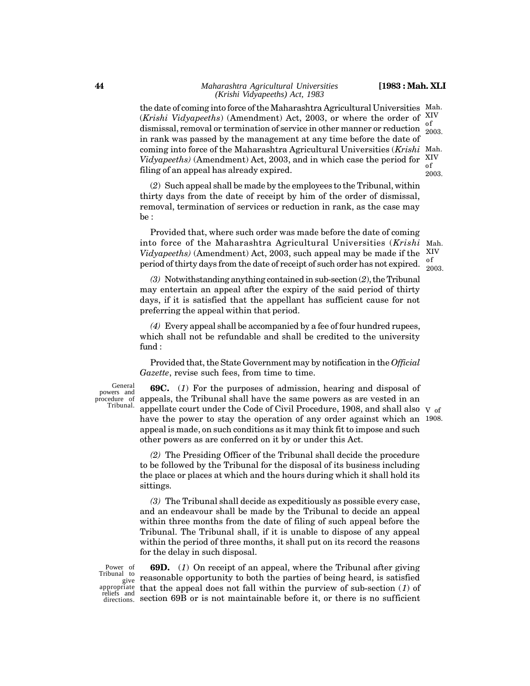the date of coming into force of the Maharashtra Agricultural Universities Mah. (*Krishi Vidyapeeths*) (Amendment) Act, 2003, or where the order of XIV  $\frac{1}{2003}$  dismissal, removal or termination of service in other manner or reduction  $\frac{1}{2003}$ in rank was passed by the management at any time before the date of coming into force of the Maharashtra Agricultural Universities (*Krishi* Mah. Vidyapeeths) (Amendment) Act, 2003, and in which case the period for  $X<sub>c</sub><sup>IV</sup>$ filing of an appeal has already expired. 2003. of 2003.

(*2*) Such appeal shall be made by the employees to the Tribunal, within thirty days from the date of receipt by him of the order of dismissal, removal, termination of services or reduction in rank, as the case may be :

Provided that, where such order was made before the date of coming into force of the Maharashtra Agricultural Universities (*Krishi Vidyapeeths)* (Amendment) Act, 2003, such appeal may be made if the XIV period of thirty days from the date of receipt of such order has not expired. of

Mah. 2003.

*(3)* Notwithstanding anything contained in sub-section (*2*), the Tribunal may entertain an appeal after the expiry of the said period of thirty days, if it is satisfied that the appellant has sufficient cause for not preferring the appeal within that period.

*(4)* Every appeal shall be accompanied by a fee of four hundred rupees, which shall not be refundable and shall be credited to the university fund :

Provided that, the State Government may by notification in the *Official Gazette*, revise such fees, from time to time.

General powers and procedure of Tribunal.

**69C.** (*1*) For the purposes of admission, hearing and disposal of appeals, the Tribunal shall have the same powers as are vested in an appellate court under the Code of Civil Procedure, 1908, and shall also V of have the power to stay the operation of any order against which an 1908.appeal is made, on such conditions as it may think fit to impose and such other powers as are conferred on it by or under this Act.

*(2)* The Presiding Officer of the Tribunal shall decide the procedure to be followed by the Tribunal for the disposal of its business including the place or places at which and the hours during which it shall hold its sittings.

*(3)* The Tribunal shall decide as expeditiously as possible every case, and an endeavour shall be made by the Tribunal to decide an appeal within three months from the date of filing of such appeal before the Tribunal. The Tribunal shall, if it is unable to dispose of any appeal within the period of three months, it shall put on its record the reasons for the delay in such disposal.

**69D.** (*1*) On receipt of an appeal, where the Tribunal after giving reasonable opportunity to both the parties of being heard, is satisfied that the appeal does not fall within the purview of sub-section (*1*) of section 69B or is not maintainable before it, or there is no sufficient Power of Tribunal to give appropriate reliefs and directions.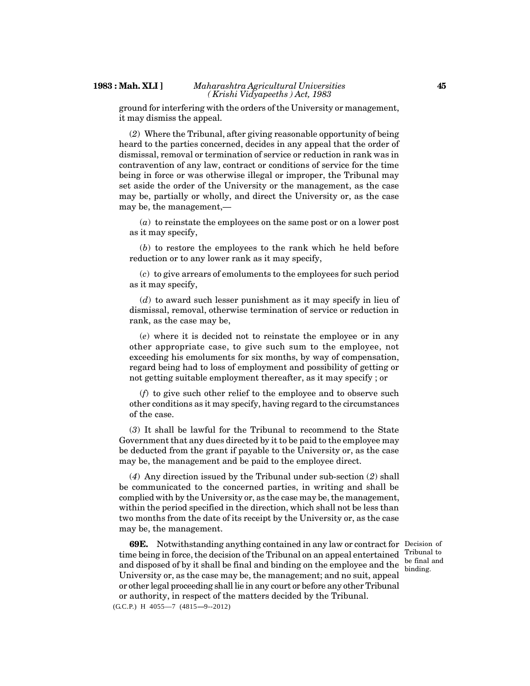ground for interfering with the orders of the University or management, it may dismiss the appeal.

(*2*) Where the Tribunal, after giving reasonable opportunity of being heard to the parties concerned, decides in any appeal that the order of dismissal, removal or termination of service or reduction in rank was in contravention of any law, contract or conditions of service for the time being in force or was otherwise illegal or improper, the Tribunal may set aside the order of the University or the management, as the case may be, partially or wholly, and direct the University or, as the case may be, the management,—

(*a*) to reinstate the employees on the same post or on a lower post as it may specify,

(*b*) to restore the employees to the rank which he held before reduction or to any lower rank as it may specify,

(*c*) to give arrears of emoluments to the employees for such period as it may specify,

(*d*) to award such lesser punishment as it may specify in lieu of dismissal, removal, otherwise termination of service or reduction in rank, as the case may be,

(*e*) where it is decided not to reinstate the employee or in any other appropriate case, to give such sum to the employee, not exceeding his emoluments for six months, by way of compensation, regard being had to loss of employment and possibility of getting or not getting suitable employment thereafter, as it may specify ; or

(*f*) to give such other relief to the employee and to observe such other conditions as it may specify, having regard to the circumstances of the case.

(*3*) It shall be lawful for the Tribunal to recommend to the State Government that any dues directed by it to be paid to the employee may be deducted from the grant if payable to the University or, as the case may be, the management and be paid to the employee direct.

(*4*) Any direction issued by the Tribunal under sub-section (*2*) shall be communicated to the concerned parties, in writing and shall be complied with by the University or, as the case may be, the management, within the period specified in the direction, which shall not be less than two months from the date of its receipt by the University or, as the case may be, the management.

**69E.** Notwithstanding anything contained in any law or contract for Decision of time being in force, the decision of the Tribunal on an appeal entertained and disposed of by it shall be final and binding on the employee and the University or, as the case may be, the management; and no suit, appeal or other legal proceeding shall lie in any court or before any other Tribunal or authority, in respect of the matters decided by the Tribunal.  $(G.C.P.)$  H  $4055-7$   $(4815-9-2012)$ 

Tribunal to be final and binding.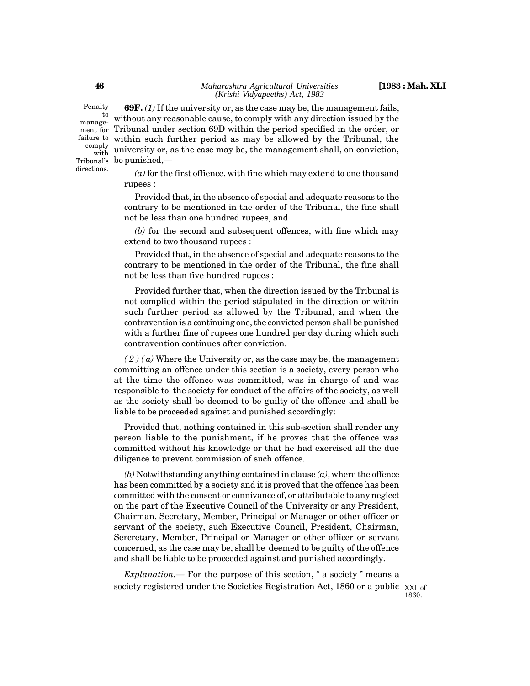Penalty managecomply with directions.

**69F.** *(1)* If the university or, as the case may be, the management fails,  $\frac{1}{2}$  without any reasonable cause, to comply with any direction issued by the ment for Tribunal under section 69D within the period specified in the order, or failure to within such further period as may be allowed by the Tribunal, the university or, as the case may be, the management shall, on conviction,  ${\rm Tribunal's\ \ \ } {\rm be \ \ }\rm{punished},$ 

> *(a)* for the first offience, with fine which may extend to one thousand rupees :

> Provided that, in the absence of special and adequate reasons to the contrary to be mentioned in the order of the Tribunal, the fine shall not be less than one hundred rupees, and

> *(b)* for the second and subsequent offences, with fine which may extend to two thousand rupees :

> Provided that, in the absence of special and adequate reasons to the contrary to be mentioned in the order of the Tribunal, the fine shall not be less than five hundred rupees :

> Provided further that, when the direction issued by the Tribunal is not complied within the period stipulated in the direction or within such further period as allowed by the Tribunal, and when the contravention is a continuing one, the convicted person shall be punished with a further fine of rupees one hundred per day during which such contravention continues after conviction.

 $(2)(a)$  Where the University or, as the case may be, the management committing an offence under this section is a society, every person who at the time the offence was committed, was in charge of and was responsible to the society for conduct of the affairs of the society, as well as the society shall be deemed to be guilty of the offence and shall be liable to be proceeded against and punished accordingly:

Provided that, nothing contained in this sub-section shall render any person liable to the punishment, if he proves that the offence was committed without his knowledge or that he had exercised all the due diligence to prevent commission of such offence.

*(b)* Notwithstanding anything contained in clause *(a)*, where the offence has been committed by a society and it is proved that the offence has been committed with the consent or connivance of, or attributable to any neglect on the part of the Executive Council of the University or any President, Chairman, Secretary, Member, Principal or Manager or other officer or servant of the society, such Executive Council, President, Chairman, Sercretary, Member, Principal or Manager or other officer or servant concerned, as the case may be, shall be deemed to be guilty of the offence and shall be liable to be proceeded against and punished accordingly.

*Explanation.—* For the purpose of this section, " a society " means a society registered under the Societies Registration Act, 1860 or a public  $\chi_{\text{XI of}}$ 

**46**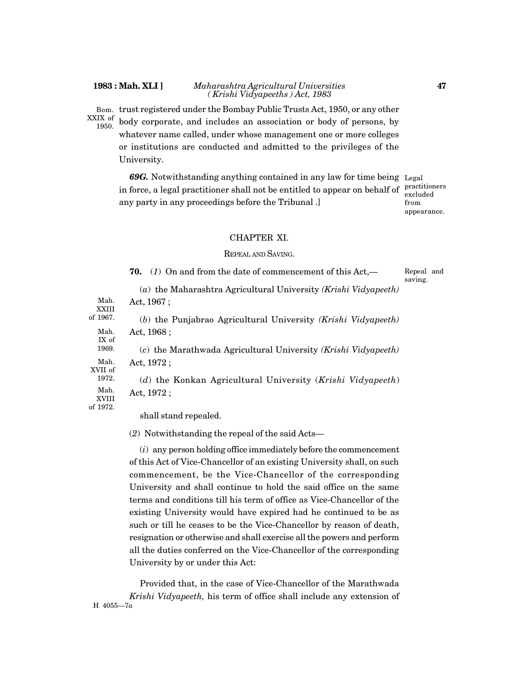#### **1983 : Mah. XLI ]** *Maharashtra Agricultural Universities ( Krishi Vidyapeeths ) Act, 1983*

trust registered under the Bombay Public Trusts Act, 1950, or any other body corporate, and includes an association or body of persons, by whatever name called, under whose management one or more colleges Bom. XXIX of 1950.

or institutions are conducted and admitted to the privileges of the University.

*69G.* Notwithstanding anything contained in any law for time being Legal in force, a legal practitioner shall not be entitled to appear on behalf of any party in any proceedings before the Tribunal .]

practitioners excluded from appearance.

#### CHAPTER XI.

#### REPEAL AND SAVING.

**70.** (*1*) On and from the date of commencement of this Act,— (*a*) the Maharashtra Agricultural University *(Krishi Vidyapeeth)* Act, 1967 ; (*b*) the Punjabrao Agricultural University *(Krishi Vidyapeeth)* Act, 1968 ; (*c*) the Marathwada Agricultural University *(Krishi Vidyapeeth)* Act, 1972 ; (*d*) the Konkan Agricultural University (*Krishi Vidyapeeth*) Act, 1972 ; shall stand repealed. Repeal and saving. Mah. XXIII of 1967. Mah. IX of 1969. Mah. XVII of 1972. Mah. XVIII of 1972.

(*2*) Notwithstanding the repeal of the said Acts—

(*i*) any person holding office immediately before the commencement of this Act of Vice-Chancellor of an existing University shall, on such commencement, be the Vice-Chancellor of the corresponding University and shall continue to hold the said office on the same terms and conditions till his term of office as Vice-Chancellor of the existing University would have expired had he continued to be as such or till he ceases to be the Vice-Chancellor by reason of death, resignation or otherwise and shall exercise all the powers and perform all the duties conferred on the Vice-Chancellor of the corresponding University by or under this Act:

Provided that, in the case of Vice-Chancellor of the Marathwada *Krishi Vidyapeeth,* his term of office shall include any extension of H 4055—7*a*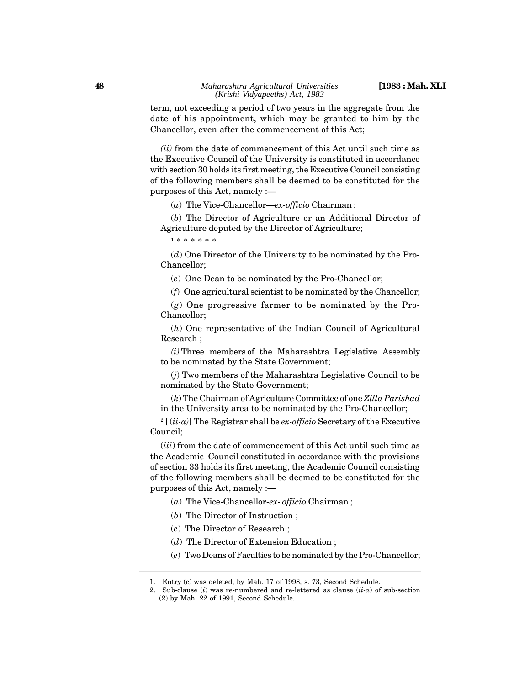term, not exceeding a period of two years in the aggregate from the date of his appointment, which may be granted to him by the Chancellor, even after the commencement of this Act;

*(ii)* from the date of commencement of this Act until such time as the Executive Council of the University is constituted in accordance with section 30 holds its first meeting, the Executive Council consisting of the following members shall be deemed to be constituted for the purposes of this Act, namely :—

(*a*) The Vice-Chancellor—*ex-officio* Chairman ;

(*b*) The Director of Agriculture or an Additional Director of Agriculture deputed by the Director of Agriculture;

1 \* \* \* \* \* \*

(*d*) One Director of the University to be nominated by the Pro-Chancellor;

(*e*) One Dean to be nominated by the Pro-Chancellor;

(*f*) One agricultural scientist to be nominated by the Chancellor;

(*g*) One progressive farmer to be nominated by the Pro-Chancellor;

(*h*) One representative of the Indian Council of Agricultural Research ;

*(i)* Three members of the Maharashtra Legislative Assembly to be nominated by the State Government;

(*j*) Two members of the Maharashtra Legislative Council to be nominated by the State Government;

(*k*) The Chairman of Agriculture Committee of one *Zilla Parishad* in the University area to be nominated by the Pro-Chancellor;

2 [ (*ii-a)*] The Registrar shall be *ex-officio* Secretary of the Executive Council;

(*iii*) from the date of commencement of this Act until such time as the Academic Council constituted in accordance with the provisions of section 33 holds its first meeting, the Academic Council consisting of the following members shall be deemed to be constituted for the purposes of this Act, namely :—

(*a*) The Vice-Chancellor-*ex- officio* Chairman ;

- (*b*) The Director of Instruction ;
- (*c*) The Director of Research ;

(*d*) The Director of Extension Education ;

(*e*) Two Deans of Faculties to be nominated by the Pro-Chancellor;

<sup>1.</sup> Entry (c) was deleted, by Mah. 17 of 1998, s. 73, Second Schedule.

<sup>2.</sup> Sub-clause (*i*) was re-numbered and re-lettered as clause (*ii-a*) of sub-section (*2*) by Mah. 22 of 1991, Second Schedule.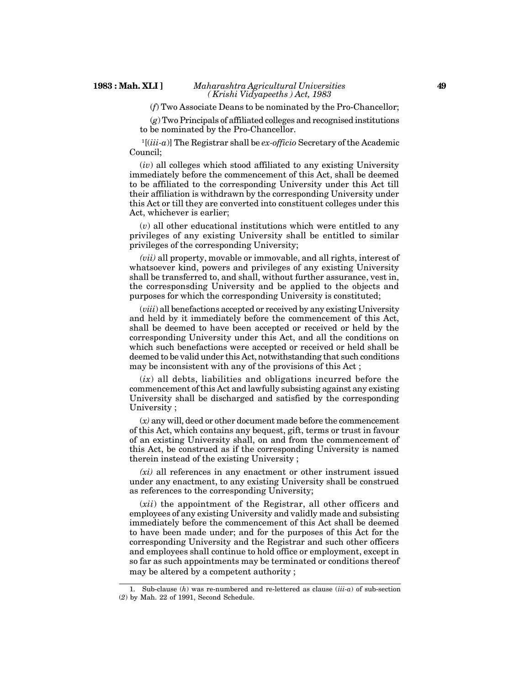#### **1983 : Mah. XLI ]** *Maharashtra Agricultural Universities ( Krishi Vidyapeeths ) Act, 1983*

#### (*f*) Two Associate Deans to be nominated by the Pro-Chancellor;

(*g*) Two Principals of affiliated colleges and recognised institutions to be nominated by the Pro-Chancellor.

<sup>1</sup>[(*iii-a*)] The Registrar shall be *ex-officio* Secretary of the Academic Council;

(*iv*) all colleges which stood affiliated to any existing University immediately before the commencement of this Act, shall be deemed to be affiliated to the corresponding University under this Act till their affiliation is withdrawn by the corresponding University under this Act or till they are converted into constituent colleges under this Act, whichever is earlier;

(*v*) all other educational institutions which were entitled to any privileges of any existing University shall be entitled to similar privileges of the corresponding University;

*(vii)* all property, movable or immovable, and all rights, interest of whatsoever kind, powers and privileges of any existing University shall be transferred to, and shall, without further assurance, vest in, the corresponsding University and be applied to the objects and purposes for which the corresponding University is constituted;

(*viii*) all benefactions accepted or received by any existing University and held by it immediately before the commencement of this Act, shall be deemed to have been accepted or received or held by the corresponding University under this Act, and all the conditions on which such benefactions were accepted or received or held shall be deemed to be valid under this Act, notwithstanding that such conditions may be inconsistent with any of the provisions of this Act ;

 $(ix)$  all debts, liabilities and obligations incurred before the commencement of this Act and lawfully subsisting against any existing University shall be discharged and satisfied by the corresponding University ;

(*x)* any will, deed or other document made before the commencement of this Act, which contains any bequest, gift, terms or trust in favour of an existing University shall, on and from the commencement of this Act, be construed as if the corresponding University is named therein instead of the existing University ;

*(xi)* all references in any enactment or other instrument issued under any enactment, to any existing University shall be construed as references to the corresponding University;

(*xii*) the appointment of the Registrar, all other officers and employees of any existing University and validly made and subsisting immediately before the commencement of this Act shall be deemed to have been made under; and for the purposes of this Act for the corresponding University and the Registrar and such other officers and employees shall continue to hold office or employment, except in so far as such appointments may be terminated or conditions thereof may be altered by a competent authority ;

Sub-clause  $(h)$  was re-numbered and re-lettered as clause  $(iii-a)$  of sub-section (*2*) by Mah. 22 of 1991, Second Schedule.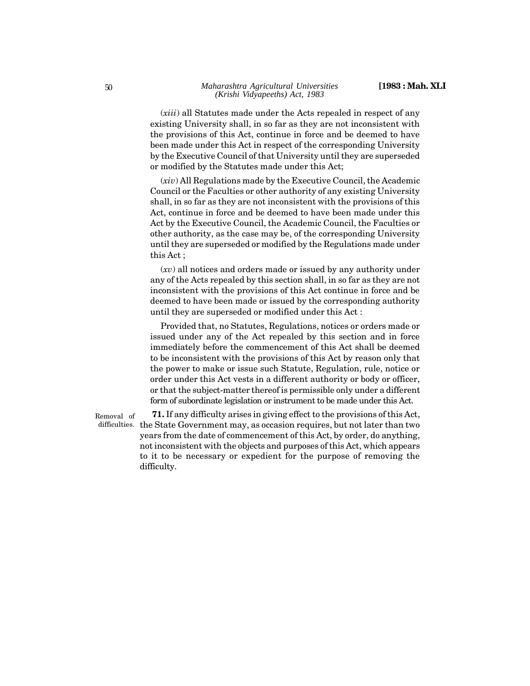(*xiii*) all Statutes made under the Acts repealed in respect of any existing University shall, in so far as they are not inconsistent with the provisions of this Act, continue in force and be deemed to have been made under this Act in respect of the corresponding University by the Executive Council of that University until they are superseded or modified by the Statutes made under this Act;

(*xiv*) All Regulations made by the Executive Council, the Academic Council or the Faculties or other authority of any existing University shall, in so far as they are not inconsistent with the provisions of this Act, continue in force and be deemed to have been made under this Act by the Executive Council, the Academic Council, the Faculties or other authority, as the case may be, of the corresponding University until they are superseded or modified by the Regulations made under this Act ;

(*xv*) all notices and orders made or issued by any authority under any of the Acts repealed by this section shall, in so far as they are not inconsistent with the provisions of this Act continue in force and be deemed to have been made or issued by the corresponding authority until they are superseded or modified under this Act :

Provided that, no Statutes, Regulations, notices or orders made or issued under any of the Act repealed by this section and in force immediately before the commencement of this Act shall be deemed to be inconsistent with the provisions of this Act by reason only that the power to make or issue such Statute, Regulation, rule, notice or order under this Act vests in a different authority or body or officer, or that the subject-matter thereof is permissible only under a different form of subordinate legislation or instrument to be made under this Act.

**71.** If any difficulty arises in giving effect to the provisions of this Act, difficulties.  $% \mathcal{L}_{\mathcal{A}}$  the State Government may, as occasion requires, but not later than two years from the date of commencement of this Act, by order, do anything, not inconsistent with the objects and purposes of this Act, which appears to it to be necessary or expedient for the purpose of removing the difficulty. Removal of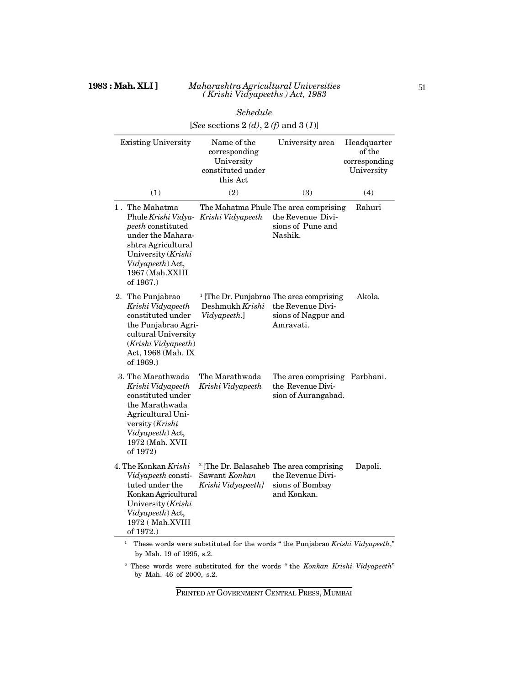|                                                                                                                                                                                 | Schedule                                                                                  |                                                                                                              |                                                      |
|---------------------------------------------------------------------------------------------------------------------------------------------------------------------------------|-------------------------------------------------------------------------------------------|--------------------------------------------------------------------------------------------------------------|------------------------------------------------------|
|                                                                                                                                                                                 | [See sections 2 (d), 2 (f) and 3 (1)]                                                     |                                                                                                              |                                                      |
| <b>Existing University</b>                                                                                                                                                      | Name of the<br>corresponding<br>University<br>constituted under<br>this Act               | University area                                                                                              | Headquarter<br>of the<br>corresponding<br>University |
| (1)                                                                                                                                                                             | (2)                                                                                       | (3)                                                                                                          | (4)                                                  |
| 1. The Mahatma<br>Phule Krishi Vidya-<br>peeth constituted<br>under the Mahara-<br>shtra Agricultural<br>University (Krishi<br>Vidyapeeth) Act,<br>1967 (Mah.XXIII<br>of 1967.) | The Mahatma Phule The area comprising<br>Krishi Vidyapeeth                                | the Revenue Divi-<br>sions of Pune and<br>Nashik.                                                            | Rahuri                                               |
| 2. The Punjabrao<br>Krishi Vidyapeeth<br>constituted under<br>the Punjabrao Agri-<br>cultural University<br>(Krishi Vidyapeeth)<br>Act, 1968 (Mah. IX<br>of 1969.)              | Deshmukh Krishi<br>Vidyapeeth.]                                                           | <sup>1</sup> [The Dr. Punjabrao The area comprising<br>the Revenue Divi-<br>sions of Nagpur and<br>Amravati. | Akola.                                               |
| 3. The Marathwada<br>Krishi Vidyapeeth<br>constituted under<br>the Marathwada<br>Agricultural Uni-<br>versity (Krishi<br>Vidyapeeth) Act,<br>1972 (Mah. XVII<br>of 1972)        | The Marathwada<br>Krishi Vidyapeeth                                                       | The area comprising Parbhani.<br>the Revenue Divi-<br>sion of Aurangabad.                                    |                                                      |
| 4. The Konkan <i>Krishi</i><br>Vidyapeeth consti-<br>tuted under the<br>Konkan Agricultural<br>University (Krishi<br>Vidyapeeth) Act,<br>1972 (Mah.XVIII<br>of 1972.)           | <sup>2</sup> The Dr. Balasaheb The area comprising<br>Sawant Konkan<br>Krishi Vidyapeeth] | the Revenue Divi-<br>sions of Bombay<br>and Konkan.                                                          | Dapoli.                                              |

1 These words were substituted for the words " the Punjabrao *Krishi Vidyapeeth*," by Mah. 19 of 1995, s.2.

2 These words were substituted for the words " the *Konkan Krishi Vidyapeeth*" by Mah. 46 of 2000, s.2.

PRINTED AT GOVERNMENT CENTRAL PRESS, MUMBAI